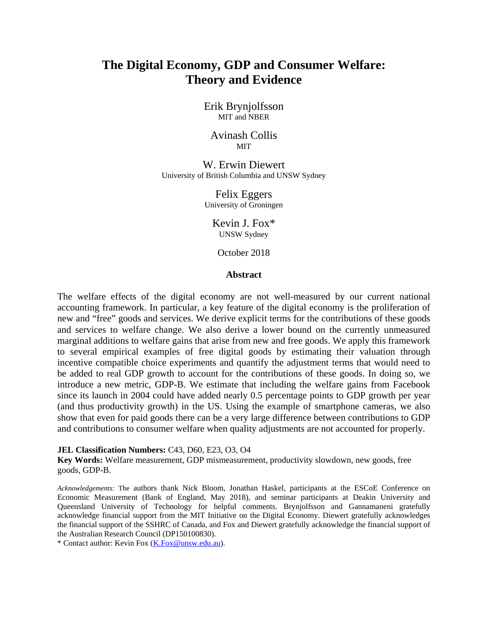# **The Digital Economy, GDP and Consumer Welfare: Theory and Evidence**

Erik Brynjolfsson MIT and NBER

Avinash Collis **MIT** 

W. Erwin Diewert University of British Columbia and UNSW Sydney

> Felix Eggers University of Groningen

> > Kevin J. Fox\* UNSW Sydney

October 2018

#### **Abstract**

The welfare effects of the digital economy are not well-measured by our current national accounting framework. In particular, a key feature of the digital economy is the proliferation of new and "free" goods and services. We derive explicit terms for the contributions of these goods and services to welfare change. We also derive a lower bound on the currently unmeasured marginal additions to welfare gains that arise from new and free goods. We apply this framework to several empirical examples of free digital goods by estimating their valuation through incentive compatible choice experiments and quantify the adjustment terms that would need to be added to real GDP growth to account for the contributions of these goods. In doing so, we introduce a new metric, GDP-B. We estimate that including the welfare gains from Facebook since its launch in 2004 could have added nearly 0.5 percentage points to GDP growth per year (and thus productivity growth) in the US. Using the example of smartphone cameras, we also show that even for paid goods there can be a very large difference between contributions to GDP and contributions to consumer welfare when quality adjustments are not accounted for properly.

#### **JEL Classification Numbers:** C43, D60, E23, O3, O4

**Key Words:** Welfare measurement, GDP mismeasurement, productivity slowdown, new goods, free goods, GDP-B.

*Acknowledgements:* The authors thank Nick Bloom, Jonathan Haskel, participants at the ESCoE Conference on Economic Measurement (Bank of England, May 2018), and seminar participants at Deakin University and Queensland University of Technology for helpful comments. Brynjolfsson and Gannamaneni gratefully acknowledge financial support from the MIT Initiative on the Digital Economy. Diewert gratefully acknowledges the financial support of the SSHRC of Canada, and Fox and Diewert gratefully acknowledge the financial support of the Australian Research Council (DP150100830).

\* Contact author: Kevin Fox [\(K.Fox@unsw.edu.au\)](mailto:K.Fox@unsw.edu.au).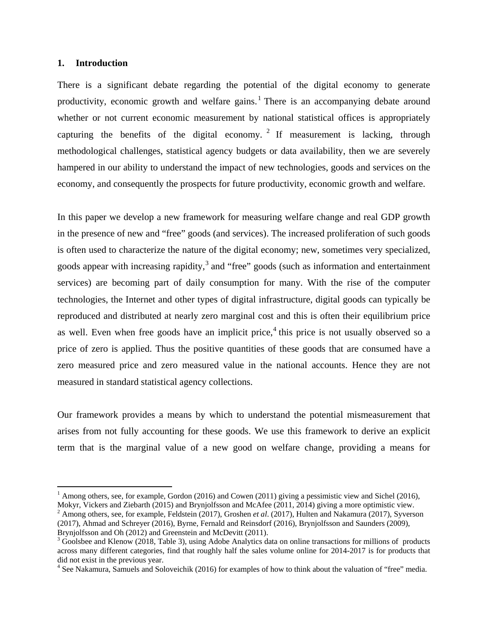## **1. Introduction**

There is a significant debate regarding the potential of the digital economy to generate productivity, economic growth and welfare gains.<sup>[1](#page-1-0)</sup> There is an accompanying debate around whether or not current economic measurement by national statistical offices is appropriately capturing the benefits of the digital economy.  $2 \text{ If measurement is lacking, through}$  $2 \text{ If measurement is lacking, through}$ methodological challenges, statistical agency budgets or data availability, then we are severely hampered in our ability to understand the impact of new technologies, goods and services on the economy, and consequently the prospects for future productivity, economic growth and welfare.

In this paper we develop a new framework for measuring welfare change and real GDP growth in the presence of new and "free" goods (and services). The increased proliferation of such goods is often used to characterize the nature of the digital economy; new, sometimes very specialized, goods appear with increasing rapidity,<sup>[3](#page-1-2)</sup> and "free" goods (such as information and entertainment services) are becoming part of daily consumption for many. With the rise of the computer technologies, the Internet and other types of digital infrastructure, digital goods can typically be reproduced and distributed at nearly zero marginal cost and this is often their equilibrium price as well. Even when free goods have an implicit price,<sup>[4](#page-1-3)</sup> this price is not usually observed so a price of zero is applied. Thus the positive quantities of these goods that are consumed have a zero measured price and zero measured value in the national accounts. Hence they are not measured in standard statistical agency collections.

Our framework provides a means by which to understand the potential mismeasurement that arises from not fully accounting for these goods. We use this framework to derive an explicit term that is the marginal value of a new good on welfare change, providing a means for

<span id="page-1-0"></span><sup>&</sup>lt;sup>1</sup> Among others, see, for example, Gordon (2016) and Cowen (2011) giving a pessimistic view and Sichel (2016), Mokyr, Vickers and Ziebarth (2015) and Brynjolfsson and McAfee (2011, 2014) giving a more optimistic view.

<span id="page-1-1"></span><sup>&</sup>lt;sup>2</sup> Among others, see, for example, Feldstein (2017), Groshen *et al.* (2017), Hulten and Nakamura (2017), Syverson (2017), Ahmad and Schreyer (2016), Byrne, Fernald and Reinsdorf (2016), Brynjolfsson and Saunders (2009), Brynjolfsson and Oh (2012) and Greenstein and McDevitt (2011).<br><sup>3</sup> Goolsbee and Klenow (2018, Table 3), using Adobe Analytics data on online transactions for millions of products

<span id="page-1-2"></span>across many different categories, find that roughly half the sales volume online for 2014-2017 is for products that did not exist in the previous year.

<span id="page-1-3"></span><sup>&</sup>lt;sup>4</sup> See Nakamura, Samuels and Soloveichik (2016) for examples of how to think about the valuation of "free" media.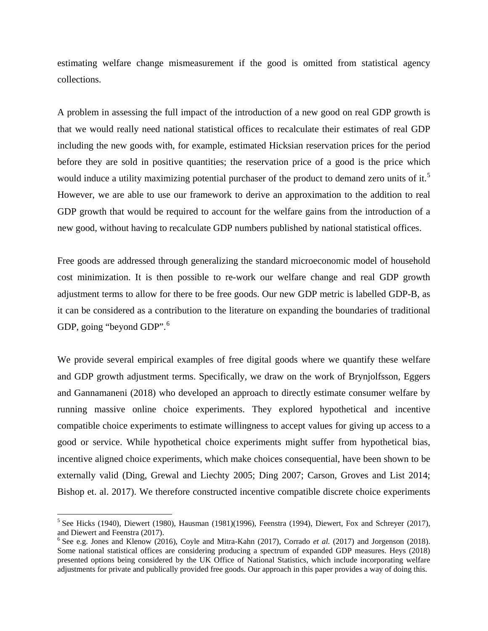estimating welfare change mismeasurement if the good is omitted from statistical agency collections.

A problem in assessing the full impact of the introduction of a new good on real GDP growth is that we would really need national statistical offices to recalculate their estimates of real GDP including the new goods with, for example, estimated Hicksian reservation prices for the period before they are sold in positive quantities; the reservation price of a good is the price which would induce a utility maximizing potential purchaser of the product to demand zero units of it.<sup>[5](#page-2-0)</sup> However, we are able to use our framework to derive an approximation to the addition to real GDP growth that would be required to account for the welfare gains from the introduction of a new good, without having to recalculate GDP numbers published by national statistical offices.

Free goods are addressed through generalizing the standard microeconomic model of household cost minimization. It is then possible to re-work our welfare change and real GDP growth adjustment terms to allow for there to be free goods. Our new GDP metric is labelled GDP-B, as it can be considered as a contribution to the literature on expanding the boundaries of traditional GDP, going "beyond GDP".<sup>[6](#page-2-1)</sup>

We provide several empirical examples of free digital goods where we quantify these welfare and GDP growth adjustment terms. Specifically, we draw on the work of Brynjolfsson, Eggers and Gannamaneni (2018) who developed an approach to directly estimate consumer welfare by running massive online choice experiments. They explored hypothetical and incentive compatible choice experiments to estimate willingness to accept values for giving up access to a good or service. While hypothetical choice experiments might suffer from hypothetical bias, incentive aligned choice experiments, which make choices consequential, have been shown to be externally valid (Ding, Grewal and Liechty 2005; Ding 2007; Carson, Groves and List 2014; Bishop et. al. 2017). We therefore constructed incentive compatible discrete choice experiments

<span id="page-2-0"></span> $5$  See Hicks (1940), Diewert (1980), Hausman (1981)(1996), Feenstra (1994), Diewert, Fox and Schreyer (2017), and Diewert and Feenstra (2017).

<span id="page-2-1"></span><sup>6</sup> See e.g. Jones and Klenow (2016), Coyle and Mitra-Kahn (2017), Corrado *et al.* (2017) and Jorgenson (2018). Some national statistical offices are considering producing a spectrum of expanded GDP measures. Heys (2018) presented options being considered by the UK Office of National Statistics, which include incorporating welfare adjustments for private and publically provided free goods. Our approach in this paper provides a way of doing this.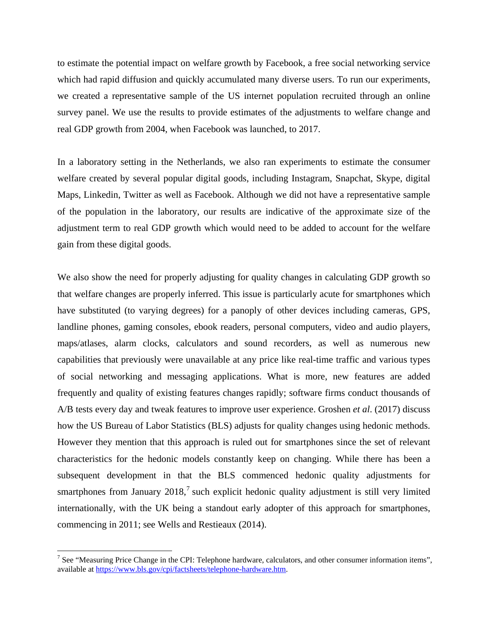to estimate the potential impact on welfare growth by Facebook, a free social networking service which had rapid diffusion and quickly accumulated many diverse users. To run our experiments, we created a representative sample of the US internet population recruited through an online survey panel. We use the results to provide estimates of the adjustments to welfare change and real GDP growth from 2004, when Facebook was launched, to 2017.

In a laboratory setting in the Netherlands, we also ran experiments to estimate the consumer welfare created by several popular digital goods, including Instagram, Snapchat, Skype, digital Maps, Linkedin, Twitter as well as Facebook. Although we did not have a representative sample of the population in the laboratory, our results are indicative of the approximate size of the adjustment term to real GDP growth which would need to be added to account for the welfare gain from these digital goods.

We also show the need for properly adjusting for quality changes in calculating GDP growth so that welfare changes are properly inferred. This issue is particularly acute for smartphones which have substituted (to varying degrees) for a panoply of other devices including cameras, GPS, landline phones, gaming consoles, ebook readers, personal computers, video and audio players, maps/atlases, alarm clocks, calculators and sound recorders, as well as numerous new capabilities that previously were unavailable at any price like real-time traffic and various types of social networking and messaging applications. What is more, new features are added frequently and quality of existing features changes rapidly; software firms conduct thousands of A/B tests every day and tweak features to improve user experience. Groshen *et al*. (2017) discuss how the US Bureau of Labor Statistics (BLS) adjusts for quality changes using hedonic methods. However they mention that this approach is ruled out for smartphones since the set of relevant characteristics for the hedonic models constantly keep on changing. While there has been a subsequent development in that the BLS commenced hedonic quality adjustments for smartphones from January  $2018<sup>7</sup>$  $2018<sup>7</sup>$  $2018<sup>7</sup>$  such explicit hedonic quality adjustment is still very limited internationally, with the UK being a standout early adopter of this approach for smartphones, commencing in 2011; see Wells and Restieaux (2014).

<span id="page-3-0"></span> $7$  See "Measuring Price Change in the CPI: Telephone hardware, calculators, and other consumer information items", available at [https://www.bls.gov/cpi/factsheets/telephone-hardware.htm.](https://www.bls.gov/cpi/factsheets/telephone-hardware.htm)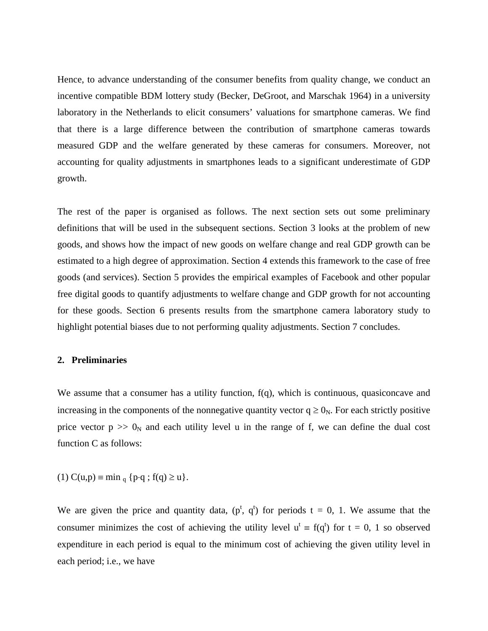Hence, to advance understanding of the consumer benefits from quality change, we conduct an incentive compatible BDM lottery study (Becker, DeGroot, and Marschak 1964) in a university laboratory in the Netherlands to elicit consumers' valuations for smartphone cameras. We find that there is a large difference between the contribution of smartphone cameras towards measured GDP and the welfare generated by these cameras for consumers. Moreover, not accounting for quality adjustments in smartphones leads to a significant underestimate of GDP growth.

The rest of the paper is organised as follows. The next section sets out some preliminary definitions that will be used in the subsequent sections. Section 3 looks at the problem of new goods, and shows how the impact of new goods on welfare change and real GDP growth can be estimated to a high degree of approximation. Section 4 extends this framework to the case of free goods (and services). Section 5 provides the empirical examples of Facebook and other popular free digital goods to quantify adjustments to welfare change and GDP growth for not accounting for these goods. Section 6 presents results from the smartphone camera laboratory study to highlight potential biases due to not performing quality adjustments. Section 7 concludes.

#### **2. Preliminaries**

We assume that a consumer has a utility function,  $f(q)$ , which is continuous, quasiconcave and increasing in the components of the nonnegative quantity vector  $q \ge 0_N$ . For each strictly positive price vector  $p \gg 0_N$  and each utility level u in the range of f, we can define the dual cost function C as follows:

(1) 
$$
C(u,p) \equiv \min_q \{p \cdot q : f(q) \ge u\}.
$$

We are given the price and quantity data,  $(p^t, q^t)$  for periods  $t = 0, 1$ . We assume that the consumer minimizes the cost of achieving the utility level  $u^t = f(q^t)$  for  $t = 0, 1$  so observed expenditure in each period is equal to the minimum cost of achieving the given utility level in each period; i.e., we have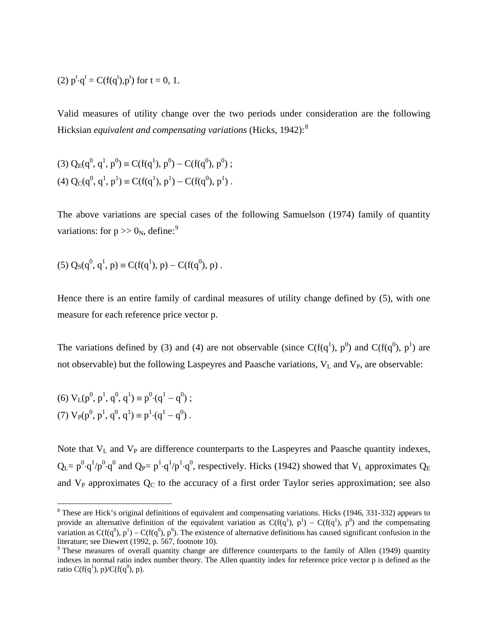(2) 
$$
p^t \cdot q^t = C(f(q^t), p^t)
$$
 for  $t = 0, 1$ .

Valid measures of utility change over the two periods under consideration are the following Hicksian *equivalent and compensating variations* (Hicks, 1942):[8](#page-5-0)

(3) 
$$
Q_E(q^0, q^1, p^0) \equiv C(f(q^1), p^0) - C(f(q^0), p^0)
$$
;  
(4)  $Q_C(q^0, q^1, p^1) \equiv C(f(q^1), p^1) - C(f(q^0), p^1)$ .

The above variations are special cases of the following Samuelson (1974) family of quantity variations: for  $p \gg 0_N$ , define:<sup>[9](#page-5-1)</sup>

(5) 
$$
Q_S(q^0, q^1, p) \equiv C(f(q^1), p) - C(f(q^0), p)
$$
.

Hence there is an entire family of cardinal measures of utility change defined by (5), with one measure for each reference price vector p.

The variations defined by (3) and (4) are not observable (since  $C(f(q^1), p^0)$  and  $C(f(q^0), p^1)$  are not observable) but the following Laspeyres and Paasche variations,  $V_L$  and  $V_P$ , are observable:

(6) 
$$
V_L(p^0, p^1, q^0, q^1) \equiv p^0 \cdot (q^1 - q^0)
$$
;  
(7)  $V_P(p^0, p^1, q^0, q^1) \equiv p^1 \cdot (q^1 - q^0)$ .

Note that  $V_L$  and  $V_P$  are difference counterparts to the Laspeyres and Paasche quantity indexes,  $Q_L = p^0 \cdot q^1/p^0 \cdot q^0$  and  $Q_P = p^1 \cdot q^1/p^1 \cdot q^0$ , respectively. Hicks (1942) showed that  $V_L$  approximates  $Q_E$ and  $V_P$  approximates  $Q_C$  to the accuracy of a first order Taylor series approximation; see also

<span id="page-5-0"></span><sup>&</sup>lt;sup>8</sup> These are Hick's original definitions of equivalent and compensating variations. Hicks (1946, 331-332) appears to provide an alternative definition of the equivalent variation as  $C(f(q^1), p^1) - C(f(q^1), p^0)$  and the compensating variation as  $C(f(q^0), p^1) - C(f(q^0), p^0)$ . The existence of alternative definitions has caused significant confusion in the literature; see Diewert (1992, p. 567, footnote 10).<br><sup>9</sup> These measures of overall quantity change are difference counterparts to the family of Allen (1949) quantity

<span id="page-5-1"></span>indexes in normal ratio index number theory. The Allen quantity index for reference price vector p is defined as the ratio C( $f(q^1)$ , p)/C( $f(q^0)$ , p).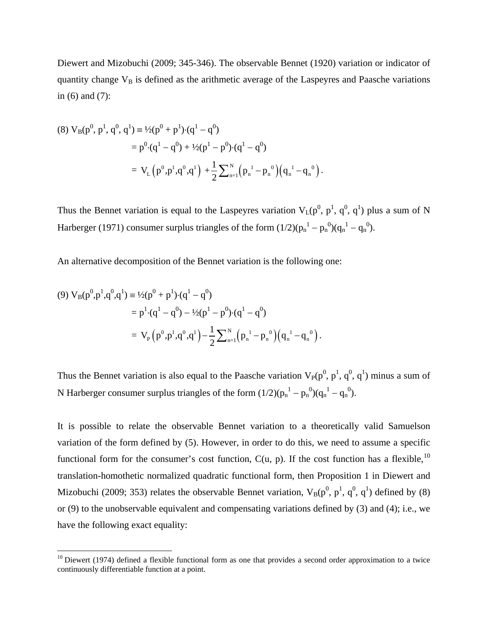Diewert and Mizobuchi (2009; 345-346). The observable Bennet (1920) variation or indicator of quantity change  $V_B$  is defined as the arithmetic average of the Laspeyres and Paasche variations in (6) and (7):

(8) 
$$
V_B(p^0, p^1, q^0, q^1) \equiv \frac{1}{2}(p^0 + p^1) \cdot (q^1 - q^0)
$$
  
\n
$$
= p^0 \cdot (q^1 - q^0) + \frac{1}{2}(p^1 - p^0) \cdot (q^1 - q^0)
$$
\n
$$
= V_L(p^0, p^1, q^0, q^1) + \frac{1}{2} \sum_{n=1}^N (p_n^1 - p_n^0) (q_n^1 - q_n^0).
$$

Thus the Bennet variation is equal to the Laspeyres variation  $V_L(p^0, p^1, q^0, q^1)$  plus a sum of N Harberger (1971) consumer surplus triangles of the form  $(1/2)(p_n^1 - p_n^0)(q_n^1 - q_n^0)$ .

An alternative decomposition of the Bennet variation is the following one:

(9) 
$$
V_B(p^0, p^1, q^0, q^1) = \frac{1}{2}(p^0 + p^1) \cdot (q^1 - q^0)
$$
  
=  $p^1 \cdot (q^1 - q^0) - \frac{1}{2}(p^1 - p^0) \cdot (q^1 - q^0)$   
= 
$$
V_P(p^0, p^1, q^0, q^1) - \frac{1}{2} \sum_{n=1}^{N} (p_n^1 - p_n^0) (q_n^1 - q_n^0).
$$

Thus the Bennet variation is also equal to the Paasche variation  $V_P(p^0, p^1, q^0, q^1)$  minus a sum of N Harberger consumer surplus triangles of the form  $(1/2)(p_n^1 - p_n^0)(q_n^1 - q_n^0)$ .

It is possible to relate the observable Bennet variation to a theoretically valid Samuelson variation of the form defined by (5). However, in order to do this, we need to assume a specific functional form for the consumer's cost function,  $C(u, p)$ . If the cost function has a flexible,<sup>[10](#page-6-0)</sup> translation-homothetic normalized quadratic functional form, then Proposition 1 in Diewert and Mizobuchi (2009; 353) relates the observable Bennet variation,  $V_B(p^0, p^1, q^0, q^1)$  defined by (8) or (9) to the unobservable equivalent and compensating variations defined by (3) and (4); i.e., we have the following exact equality:

<span id="page-6-0"></span> $10$  Diewert (1974) defined a flexible functional form as one that provides a second order approximation to a twice continuously differentiable function at a point.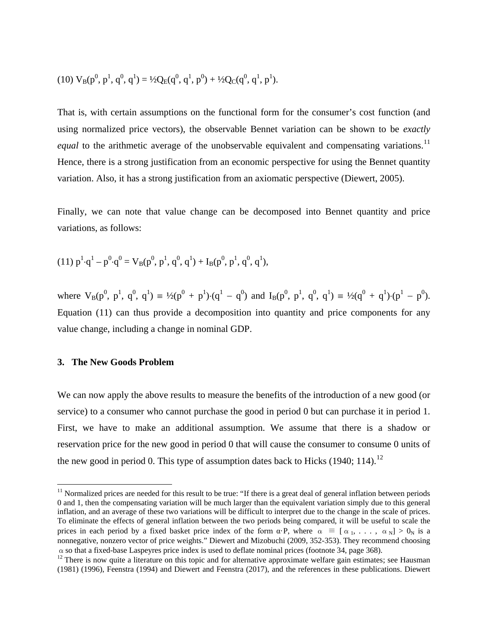(10) 
$$
V_B(p^0, p^1, q^0, q^1) = \frac{1}{2}Q_E(q^0, q^1, p^0) + \frac{1}{2}Q_C(q^0, q^1, p^1)
$$
.

That is, with certain assumptions on the functional form for the consumer's cost function (and using normalized price vectors), the observable Bennet variation can be shown to be *exactly equal* to the arithmetic average of the unobservable equivalent and compensating variations.<sup>[11](#page-7-0)</sup> Hence, there is a strong justification from an economic perspective for using the Bennet quantity variation. Also, it has a strong justification from an axiomatic perspective (Diewert, 2005).

Finally, we can note that value change can be decomposed into Bennet quantity and price variations, as follows:

(11) 
$$
p^1 \cdot q^1 - p^0 \cdot q^0 = V_B(p^0, p^1, q^0, q^1) + I_B(p^0, p^1, q^0, q^1)
$$
,

where  $V_B(p^0, p^1, q^0, q^1) \equiv \frac{1}{2}(p^0 + p^1) \cdot (q^1 - q^0)$  and  $I_B(p^0, p^1, q^0, q^1) \equiv \frac{1}{2}(q^0 + q^1) \cdot (p^1 - p^0)$ . Equation (11) can thus provide a decomposition into quantity and price components for any value change, including a change in nominal GDP.

## **3. The New Goods Problem**

We can now apply the above results to measure the benefits of the introduction of a new good (or service) to a consumer who cannot purchase the good in period 0 but can purchase it in period 1. First, we have to make an additional assumption. We assume that there is a shadow or reservation price for the new good in period 0 that will cause the consumer to consume 0 units of the new good in period 0. This type of assumption dates back to Hicks (1940; 114).<sup>[12](#page-7-1)</sup>

<span id="page-7-0"></span><sup>&</sup>lt;sup>11</sup> Normalized prices are needed for this result to be true: "If there is a great deal of general inflation between periods 0 and 1, then the compensating variation will be much larger than the equivalent variation simply due to this general inflation, and an average of these two variations will be difficult to interpret due to the change in the scale of prices. To eliminate the effects of general inflation between the two periods being compared, it will be useful to scale the prices in each period by a fixed basket price index of the form  $\alpha \cdot P$ , where  $\alpha \equiv [\alpha_1, \ldots, \alpha_N] > 0_N$  is a nonnegative, nonzero vector of price weights." Diewert and Mizobuchi (2009, 352-353). They recommend choosing  $\alpha$  so that a fixed-base Laspeyres price index is used to deflate nominal prices (footnote 34, page 368).

<span id="page-7-1"></span> $12$  There is now quite a literature on this topic and for alternative approximate welfare gain estimates; see Hausman (1981) (1996), Feenstra (1994) and Diewert and Feenstra (2017), and the references in these publications. Diewert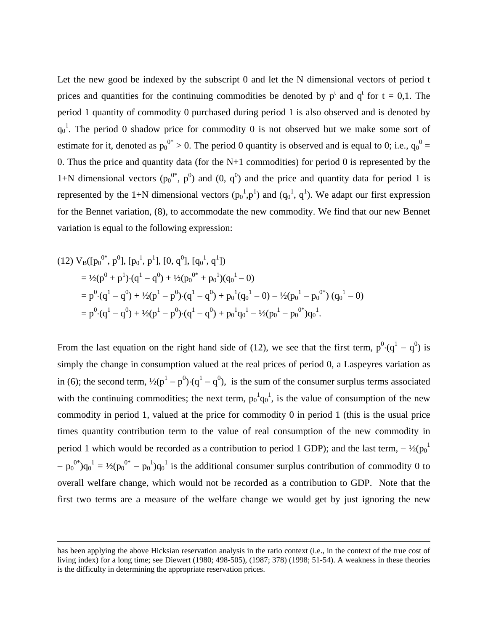Let the new good be indexed by the subscript 0 and let the N dimensional vectors of period t prices and quantities for the continuing commodities be denoted by  $p^t$  and  $q^t$  for  $t = 0,1$ . The period 1 quantity of commodity 0 purchased during period 1 is also observed and is denoted by  $q_0$ <sup>1</sup>. The period 0 shadow price for commodity 0 is not observed but we make some sort of estimate for it, denoted as  $p_0^{0*} > 0$ . The period 0 quantity is observed and is equal to 0; i.e.,  $q_0^0$  = 0. Thus the price and quantity data (for the  $N+1$  commodities) for period 0 is represented by the 1+N dimensional vectors  $(p_0^{0*}, p^0)$  and  $(0, q^0)$  and the price and quantity data for period 1 is represented by the 1+N dimensional vectors  $(p_0^1, p_1^1)$  and  $(q_0^1, q_1^1)$ . We adapt our first expression for the Bennet variation, (8), to accommodate the new commodity. We find that our new Bennet variation is equal to the following expression:

(12) 
$$
V_B([p_0^{0*}, p^0], [p_0^1, p^1], [0, q^0], [q_0^1, q^1])
$$
  
\n $= \frac{1}{2}(p^0 + p^1) \cdot (q^1 - q^0) + \frac{1}{2}(p_0^{0*} + p_0^1)(q_0^1 - 0)$   
\n $= p^0 \cdot (q^1 - q^0) + \frac{1}{2}(p^1 - p^0) \cdot (q^1 - q^0) + p_0^1 (q_0^1 - 0) - \frac{1}{2}(p_0^1 - p_0^{0*}) (q_0^1 - 0)$   
\n $= p^0 \cdot (q^1 - q^0) + \frac{1}{2}(p^1 - p^0) \cdot (q^1 - q^0) + p_0^1 q_0^1 - \frac{1}{2}(p_0^1 - p_0^{0*}) q_0^1.$ 

From the last equation on the right hand side of (12), we see that the first term,  $p^0 \cdot (q^1 - q^0)$  is simply the change in consumption valued at the real prices of period 0, a Laspeyres variation as in (6); the second term,  $\frac{1}{2}(p^{1} - p^{0}) \cdot (q^{1} - q^{0})$ , is the sum of the consumer surplus terms associated with the continuing commodities; the next term,  $p_0^1 q_0^1$ , is the value of consumption of the new commodity in period 1, valued at the price for commodity 0 in period 1 (this is the usual price times quantity contribution term to the value of real consumption of the new commodity in period 1 which would be recorded as a contribution to period 1 GDP); and the last term,  $-\frac{1}{2}$ ( $p_0$ <sup>1</sup>  $-p_0^{0*}$ ) $q_0^1 = \frac{1}{2}(p_0^{0*} - p_0^1)q_0^1$  is the additional consumer surplus contribution of commodity 0 to overall welfare change, which would not be recorded as a contribution to GDP. Note that the first two terms are a measure of the welfare change we would get by just ignoring the new

has been applying the above Hicksian reservation analysis in the ratio context (i.e., in the context of the true cost of living index) for a long time; see Diewert (1980; 498-505), (1987; 378) (1998; 51-54). A weakness in these theories is the difficulty in determining the appropriate reservation prices.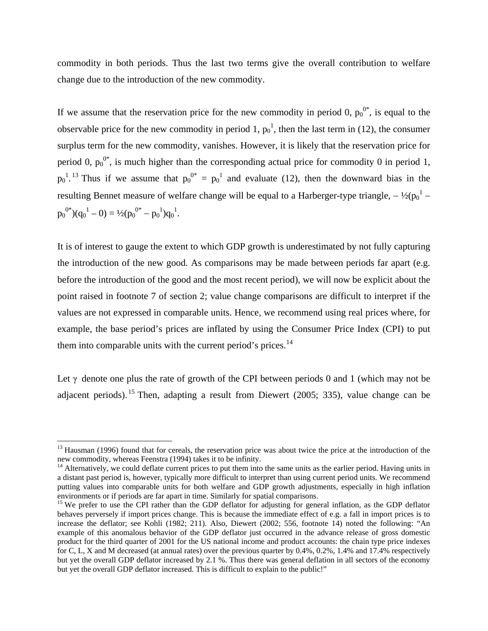commodity in both periods. Thus the last two terms give the overall contribution to welfare change due to the introduction of the new commodity.

If we assume that the reservation price for the new commodity in period 0,  $p_0^{0*}$ , is equal to the observable price for the new commodity in period 1,  $p_0^1$ , then the last term in (12), the consumer surplus term for the new commodity, vanishes. However, it is likely that the reservation price for period 0,  $p_0^{0^*}$ , is much higher than the corresponding actual price for commodity 0 in period 1,  $p_0$ <sup>1.[13](#page-9-0)</sup> Thus if we assume that  $p_0^{0^*} = p_0^1$  and evaluate (12), then the downward bias in the resulting Bennet measure of welfare change will be equal to a Harberger-type triangle,  $-\frac{1}{2}({p_0}^1$  $p_0^{0^*}(q_0^1 - 0) = \frac{1}{2}(p_0^{0^*} - p_0^1)q_0^1.$ 

It is of interest to gauge the extent to which GDP growth is underestimated by not fully capturing the introduction of the new good. As comparisons may be made between periods far apart (e.g. before the introduction of the good and the most recent period), we will now be explicit about the point raised in footnote 7 of section 2; value change comparisons are difficult to interpret if the values are not expressed in comparable units. Hence, we recommend using real prices where, for example, the base period's prices are inflated by using the Consumer Price Index (CPI) to put them into comparable units with the current period's prices.<sup>[14](#page-9-1)</sup>

Let  $\gamma$  denote one plus the rate of growth of the CPI between periods 0 and 1 (which may not be adjacent periods). <sup>[15](#page-9-2)</sup> Then, adapting a result from Diewert (2005; 335), value change can be

<span id="page-9-0"></span><sup>&</sup>lt;sup>13</sup> Hausman (1996) found that for cereals, the reservation price was about twice the price at the introduction of the new commodity, whereas Feenstra (1994) takes it to be infinity.

<span id="page-9-1"></span> $14$  Alternatively, we could deflate current prices to put them into the same units as the earlier period. Having units in a distant past period is, however, typically more difficult to interpret than using current period units. We recommend putting values into comparable units for both welfare and GDP growth adjustments, especially in high inflation environments or if periods are far apart in time. Similarly for spatial comparisons.

<span id="page-9-2"></span><sup>&</sup>lt;sup>15</sup> We prefer to use the CPI rather than the GDP deflator for adjusting for general inflation, as the GDP deflator behaves perversely if import prices change. This is because the immediate effect of e.g. a fall in import prices is to increase the deflator; see Kohli (1982; 211). Also, Diewert (2002; 556, footnote 14) noted the following: "An example of this anomalous behavior of the GDP deflator just occurred in the advance release of gross domestic product for the third quarter of 2001 for the US national income and product accounts: the chain type price indexes for C, L, X and M decreased (at annual rates) over the previous quarter by 0.4%, 0.2%, 1.4% and 17.4% respectively but yet the overall GDP deflator increased by 2.1 %. Thus there was general deflation in all sectors of the economy but yet the overall GDP deflator increased. This is difficult to explain to the public!"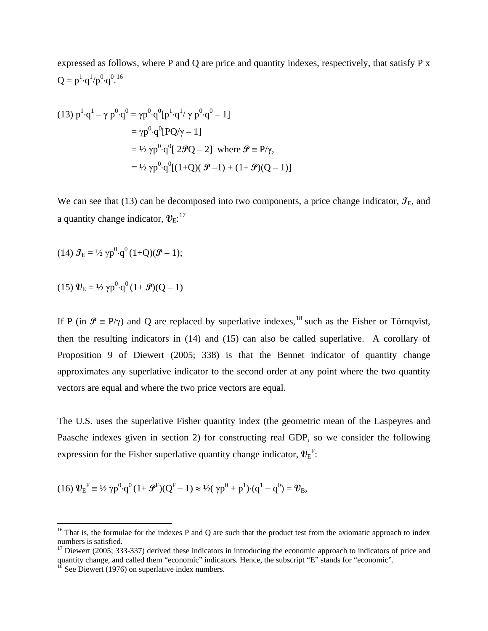expressed as follows, where P and Q are price and quantity indexes, respectively, that satisfy P x  $Q = p^1 \cdot q^1 / p^0 \cdot q^{0.16}$  $Q = p^1 \cdot q^1 / p^0 \cdot q^{0.16}$  $Q = p^1 \cdot q^1 / p^0 \cdot q^{0.16}$ 

(13) 
$$
p^1 \cdot q^1 - \gamma p^0 \cdot q^0 = \gamma p^0 \cdot q^0 [p^1 \cdot q^1 / \gamma p^0 \cdot q^0 - 1]
$$
  
\t\t\t\t $= \gamma p^0 \cdot q^0 [PQ/\gamma - 1]$   
\t\t\t\t $= \frac{1}{2} \gamma p^0 \cdot q^0 [2 \mathcal{P}Q - 2]$  where  $\mathcal{P} \equiv P/\gamma$ ,  
\t\t\t\t $= \frac{1}{2} \gamma p^0 \cdot q^0 [(1+Q)(\mathcal{P}-1) + (1+\mathcal{P})(Q-1)]$ 

We can see that (13) can be decomposed into two components, a price change indicator,  $\mathcal{I}_E$ , and a quantity change indicator,  $\bm{v}_{\text{E}}$ :<sup>[17](#page-10-1)</sup>

$$
(14) \mathcal{J}_E = \frac{1}{2} \gamma p^0 \cdot q^0 (1+Q)(\mathcal{P}-1);
$$

$$
(15) \mathbf{v}_{\mathrm{E}} = V_2 \gamma p^0 \cdot q^0 (1 + \mathbf{\mathcal{P}})(Q - 1)
$$

If P (in  $\mathcal{P} = P/\gamma$ ) and O are replaced by superlative indexes,<sup>[18](#page-10-2)</sup> such as the Fisher or Törnqvist, then the resulting indicators in (14) and (15) can also be called superlative. A corollary of Proposition 9 of Diewert (2005; 338) is that the Bennet indicator of quantity change approximates any superlative indicator to the second order at any point where the two quantity vectors are equal and where the two price vectors are equal.

The U.S. uses the superlative Fisher quantity index (the geometric mean of the Laspeyres and Paasche indexes given in section 2) for constructing real GDP, so we consider the following expression for the Fisher superlative quantity change indicator,  $\boldsymbol{\mathcal{V}}_E^F$ :

(16) 
$$
\mathbf{U}_{E}^{F} \equiv \frac{1}{2} \gamma p^{0} \cdot q^{0} (1 + \mathbf{F}^{F})(Q^{F} - 1) \approx \frac{1}{2} (\gamma p^{0} + p^{1}) \cdot (q^{1} - q^{0}) = \mathbf{U}_{B},
$$

<span id="page-10-0"></span> $16$  That is, the formulae for the indexes P and Q are such that the product test from the axiomatic approach to index numbers is satisfied.

<span id="page-10-1"></span><sup>&</sup>lt;sup>17</sup> Diewert (2005; 333-337) derived these indicators in introducing the economic approach to indicators of price and quantity change, and called them "economic" indicators. Hence, the subscript "E" stands for "economic".

<span id="page-10-2"></span> $18$  See Diewert (1976) on superlative index numbers.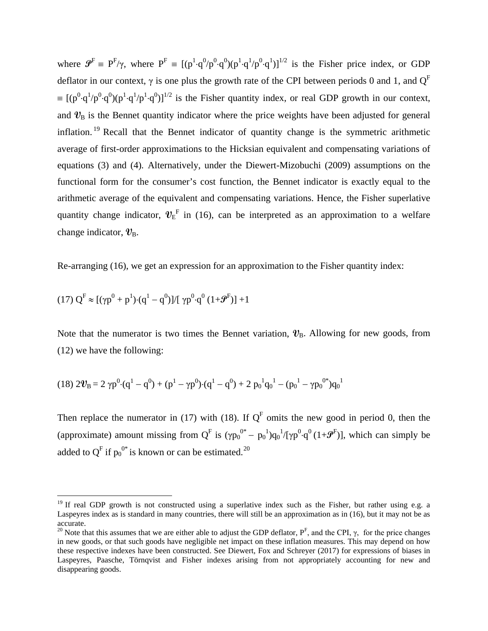where  $\mathbf{\mathcal{P}}^{\text{F}} = \text{P}^{\text{F}}/\gamma$ , where  $\text{P}^{\text{F}} = \text{P}^{\text{F}} \cdot \text{q}^0/\text{p}^0 \cdot \text{q}^0/\text{p}^1 \cdot \text{q}^1/\text{p}^0 \cdot \text{q}^1)\text{P}^{\text{F}}$  is the Fisher price index, or GDP deflator in our context,  $\gamma$  is one plus the growth rate of the CPI between periods 0 and 1, and  $Q^F$  $\equiv [(\mathbf{p}^0 \cdot \mathbf{q}^1/\mathbf{p}^0 \cdot \mathbf{q}^0)(\mathbf{p}^1 \cdot \mathbf{q}^1/\mathbf{p}^1 \cdot \mathbf{q}^0)]^{1/2}$  is the Fisher quantity index, or real GDP growth in our context, and  $v<sub>B</sub>$  is the Bennet quantity indicator where the price weights have been adjusted for general inflation.<sup>[19](#page-11-0)</sup> Recall that the Bennet indicator of quantity change is the symmetric arithmetic average of first-order approximations to the Hicksian equivalent and compensating variations of equations (3) and (4)*.* Alternatively, under the Diewert-Mizobuchi (2009) assumptions on the functional form for the consumer's cost function, the Bennet indicator is exactly equal to the arithmetic average of the equivalent and compensating variations. Hence, the Fisher superlative quantity change indicator,  $v_{E}^{F}$  in (16), can be interpreted as an approximation to a welfare change indicator,  $v_{\text{B}}$ .

Re-arranging (16), we get an expression for an approximation to the Fisher quantity index:

$$
(17) \ Q^F \approx [(\gamma p^0 + p^1) \!\cdot\! (q^1 - q^0)] / [\ \gamma p^0 \!\cdot\! q^0 \ (1 \!+\! {\cal G}^F)] + 1
$$

Note that the numerator is two times the Bennet variation,  $v_{\rm B}$ . Allowing for new goods, from (12) we have the following:

$$
(18) 2\mathcal{V}_B = 2 \gamma p^0 \cdot (q^1 - q^0) + (p^1 - \gamma p^0) \cdot (q^1 - q^0) + 2 p_0^1 q_0^1 - (p_0^1 - \gamma p_0^{0*}) q_0^1
$$

Then replace the numerator in (17) with (18). If  $Q<sup>F</sup>$  omits the new good in period 0, then the (approximate) amount missing from  $Q^F$  is  $(\gamma p_0^{0*} - p_0^1)q_0^1/[\gamma p_0^0 \cdot q_0^0 (1+\mathcal{F}^F)]$ , which can simply be added to Q<sup>F</sup> if  $p_0^{0*}$  is known or can be estimated.<sup>[20](#page-11-1)</sup>

<span id="page-11-0"></span><sup>&</sup>lt;sup>19</sup> If real GDP growth is not constructed using a superlative index such as the Fisher, but rather using e.g. a Laspeyres index as is standard in many countries, there will still be an approximation as in (16), but it may not be as accurate.

<span id="page-11-1"></span><sup>&</sup>lt;sup>20</sup> Note that this assumes that we are either able to adjust the GDP deflator,  $P^F$ , and the CPI, γ, for the price changes in new goods, or that such goods have negligible net impact on these inflation measures. This may depend on how these respective indexes have been constructed. See Diewert, Fox and Schreyer (2017) for expressions of biases in Laspeyres, Paasche, Törnqvist and Fisher indexes arising from not appropriately accounting for new and disappearing goods.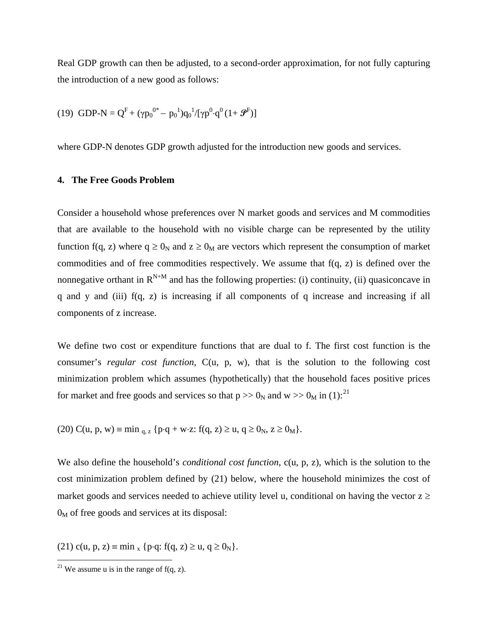Real GDP growth can then be adjusted, to a second-order approximation, for not fully capturing the introduction of a new good as follows:

(19) GDP-N = 
$$
Q^F + (\gamma p_0^{0*} - p_0^1)q_0^1/[\gamma p^0 \cdot q^0 (1 + \mathcal{P}^F)]
$$

where GDP-N denotes GDP growth adjusted for the introduction new goods and services.

# **4. The Free Goods Problem**

Consider a household whose preferences over N market goods and services and M commodities that are available to the household with no visible charge can be represented by the utility function f(q, z) where  $q \ge 0_N$  and  $z \ge 0_M$  are vectors which represent the consumption of market commodities and of free commodities respectively. We assume that f(q, z) is defined over the nonnegative orthant in  $R^{N+M}$  and has the following properties: (i) continuity, (ii) quasiconcave in  $q$  and  $y$  and (iii)  $f(q, z)$  is increasing if all components of  $q$  increase and increasing if all components of z increase.

We define two cost or expenditure functions that are dual to f. The first cost function is the consumer's *regular cost function*, C(u, p, w), that is the solution to the following cost minimization problem which assumes (hypothetically) that the household faces positive prices for market and free goods and services so that  $p \gg 0_N$  and  $w \gg 0_M$  in (1):<sup>[21](#page-12-0)</sup>

(20) C(u, p, w) = min <sub>q, z</sub> {p⋅q + w⋅z: f(q, z) ≥ u, q ≥ 0<sub>N</sub>, z ≥ 0<sub>M</sub>}.

We also define the household's *conditional cost function*, c(u, p, z), which is the solution to the cost minimization problem defined by (21) below, where the household minimizes the cost of market goods and services needed to achieve utility level u, conditional on having the vector  $z \ge$  $0_M$  of free goods and services at its disposal:

(21) c(u, p, z) ≡ min <sub>x</sub> {p⋅q: f(q, z) ≥ u, q ≥ 0<sub>N</sub>}.

<span id="page-12-0"></span><sup>&</sup>lt;sup>21</sup> We assume u is in the range of  $f(q, z)$ .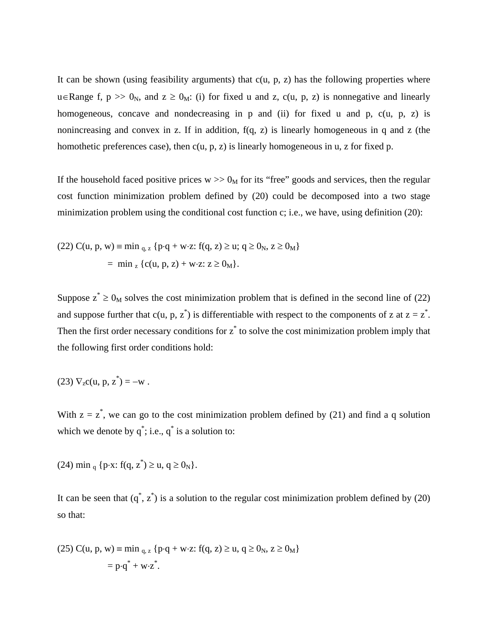It can be shown (using feasibility arguments) that  $c(u, p, z)$  has the following properties where u∈Range f,  $p \gg 0_N$ , and  $z \ge 0_M$ : (i) for fixed u and z, c(u, p, z) is nonnegative and linearly homogeneous, concave and nondecreasing in p and (ii) for fixed u and p, c(u, p, z) is nonincreasing and convex in z. If in addition,  $f(q, z)$  is linearly homogeneous in q and z (the homothetic preferences case), then  $c(u, p, z)$  is linearly homogeneous in u, z for fixed p.

If the household faced positive prices  $w \gg 0_M$  for its "free" goods and services, then the regular cost function minimization problem defined by (20) could be decomposed into a two stage minimization problem using the conditional cost function c; i.e., we have, using definition (20):

(22) C(u, p, w) = min<sub>q, z</sub> {p
$$
\cdot
$$
q + w $\cdot$ z: f(q, z)  $\ge$ u; q  $\ge$  0<sub>N</sub>, z  $\ge$  0<sub>M</sub>}  
= min<sub>z</sub> {c(u, p, z) + w $\cdot$ z: z  $\ge$  0<sub>M</sub>}.

Suppose  $z^* \ge 0_M$  solves the cost minimization problem that is defined in the second line of (22) and suppose further that  $c(u, p, z^*)$  is differentiable with respect to the components of z at  $z = z^*$ . Then the first order necessary conditions for  $z^*$  to solve the cost minimization problem imply that the following first order conditions hold:

(23) 
$$
\nabla_z c(u, p, z^*) = -w
$$
.

With  $z = z^*$ , we can go to the cost minimization problem defined by (21) and find a q solution which we denote by  $q^*$ ; i.e.,  $q^*$  is a solution to:

(24) min <sub>q</sub> {p⋅x: f(q, z<sup>\*</sup>) ≥ u, q ≥ 0<sub>N</sub>}.

It can be seen that  $(q^*, z^*)$  is a solution to the regular cost minimization problem defined by (20) so that:

(25) C(u, p, w) ≡ min q, <sup>z</sup> {p⋅q + w⋅z: f(q, z) ≥ u, q ≥ 0N, z ≥ 0M} = p⋅q\* + w⋅z \* .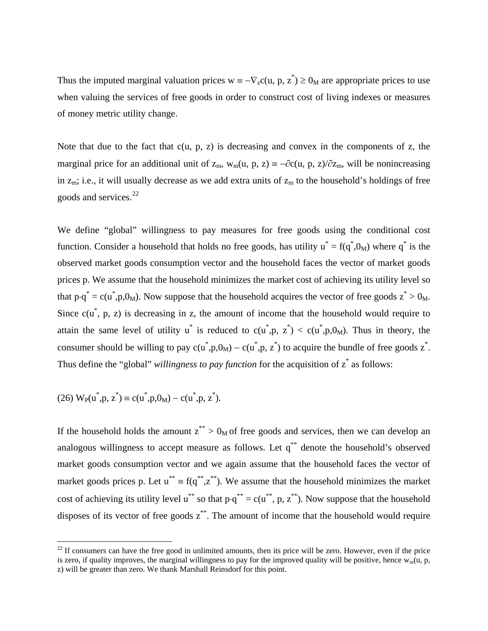Thus the imputed marginal valuation prices  $w = -\nabla_z c(u, p, z^*) \ge 0_M$  are appropriate prices to use when valuing the services of free goods in order to construct cost of living indexes or measures of money metric utility change.

Note that due to the fact that  $c(u, p, z)$  is decreasing and convex in the components of z, the marginal price for an additional unit of  $z_m$ ,  $w_m(u, p, z) \equiv -\partial c(u, p, z)/\partial z_m$ , will be nonincreasing in  $z_m$ ; i.e., it will usually decrease as we add extra units of  $z_m$  to the household's holdings of free goods and services.<sup>[22](#page-14-0)</sup>

We define "global" willingness to pay measures for free goods using the conditional cost function. Consider a household that holds no free goods, has utility  $u^* = f(q^*, 0_M)$  where  $q^*$  is the observed market goods consumption vector and the household faces the vector of market goods prices p. We assume that the household minimizes the market cost of achieving its utility level so that  $p \cdot q^* = c(u^*, p, 0_M)$ . Now suppose that the household acquires the vector of free goods  $z^* > 0_M$ . Since  $c(u^*, p, z)$  is decreasing in z, the amount of income that the household would require to attain the same level of utility u<sup>\*</sup> is reduced to  $c(u^*,p, z^*) < c(u^*,p,0_M)$ . Thus in theory, the consumer should be willing to pay  $c(u^*, p, 0_M) - c(u^*, p, z^*)$  to acquire the bundle of free goods  $z^*$ . Thus define the "global" *willingness to pay function* for the acquisition of  $z^*$  as follows:

(26) 
$$
W_P(u^*, p, z^*) = c(u^*, p, 0_M) - c(u^*, p, z^*).
$$

If the household holds the amount  $z^{**} > 0_M$  of free goods and services, then we can develop an analogous willingness to accept measure as follows. Let q\*\* denote the household's observed market goods consumption vector and we again assume that the household faces the vector of market goods prices p. Let  $u^{**} = f(q^{**}, z^{**})$ . We assume that the household minimizes the market cost of achieving its utility level  $u^{**}$  so that  $p \cdot q^{**} = c(u^{**}, p, z^{**})$ . Now suppose that the household disposes of its vector of free goods  $z^*$ . The amount of income that the household would require

<span id="page-14-0"></span> $22$  If consumers can have the free good in unlimited amounts, then its price will be zero. However, even if the price is zero, if quality improves, the marginal willingness to pay for the improved quality will be positive, hence  $w_m(u, p, q)$ z) will be greater than zero. We thank Marshall Reinsdorf for this point.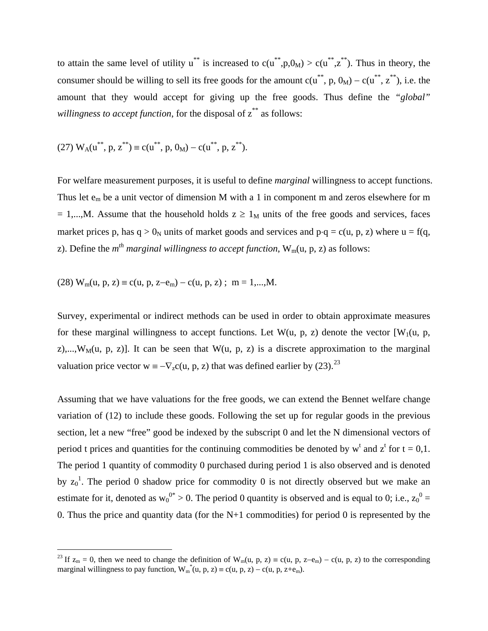to attain the same level of utility  $u^{**}$  is increased to  $c(u^{**},p,0_M) > c(u^{**},z^{**})$ . Thus in theory, the consumer should be willing to sell its free goods for the amount  $c(u^{**}, p, 0_M) - c(u^{**}, z^{**})$ , i.e. the amount that they would accept for giving up the free goods. Thus define the *"global" willingness to accept function*, for the disposal of  $z^{**}$  as follows:

(27) 
$$
W_A(u^{**}, p, z^{**}) \equiv c(u^{**}, p, 0_M) - c(u^{**}, p, z^{**}).
$$

For welfare measurement purposes, it is useful to define *marginal* willingness to accept functions. Thus let  $e_m$  be a unit vector of dimension M with a 1 in component m and zeros elsewhere for m = 1,...,M. Assume that the household holds  $z \ge 1_M$  units of the free goods and services, faces market prices p, has q > 0<sub>N</sub> units of market goods and services and p⋅q = c(u, p, z) where u = f(q, z). Define the *m<sup>th</sup> marginal willingness to accept function*, W<sub>m</sub>(u, p, z) as follows:

(28)  $W_m(u, p, z) \equiv c(u, p, z-e_m) - c(u, p, z)$ ; m = 1,...,M.

Survey, experimental or indirect methods can be used in order to obtain approximate measures for these marginal willingness to accept functions. Let  $W(u, p, z)$  denote the vector  $[W_1(u, p, z)]$ z),...,  $W_M(u, p, z)$ ]. It can be seen that  $W(u, p, z)$  is a discrete approximation to the marginal valuation price vector w =  $-\nabla_z c(u, p, z)$  that was defined earlier by ([23](#page-15-0)).<sup>23</sup>

Assuming that we have valuations for the free goods, we can extend the Bennet welfare change variation of (12) to include these goods. Following the set up for regular goods in the previous section, let a new "free" good be indexed by the subscript 0 and let the N dimensional vectors of period t prices and quantities for the continuing commodities be denoted by  $w^t$  and  $z^t$  for  $t = 0,1$ . The period 1 quantity of commodity 0 purchased during period 1 is also observed and is denoted by  $z_0$ <sup>1</sup>. The period 0 shadow price for commodity 0 is not directly observed but we make an estimate for it, denoted as  $w_0^{0*} > 0$ . The period 0 quantity is observed and is equal to 0; i.e.,  $z_0^{0} =$ 0. Thus the price and quantity data (for the  $N+1$  commodities) for period 0 is represented by the

<span id="page-15-0"></span><sup>&</sup>lt;sup>23</sup> If  $z_m = 0$ , then we need to change the definition of W<sub>m</sub>(u, p, z) ≡ c(u, p, z–e<sub>m</sub>) – c(u, p, z) to the corresponding marginal willingness to pay function,  $W_m^*(u, p, z) \equiv c(u, p, z) - c(u, p, z + e_m)$ .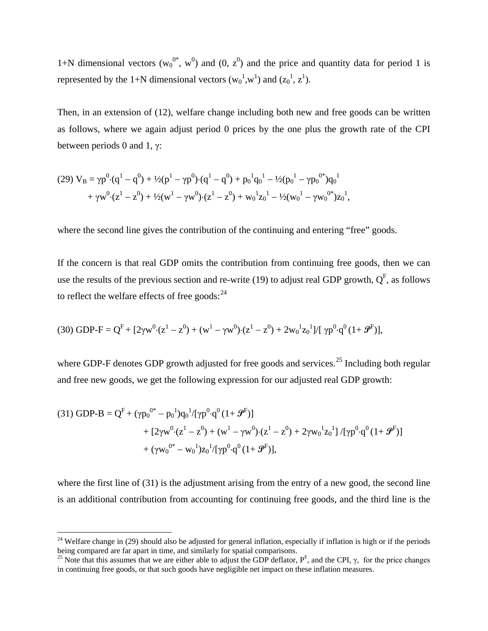1+N dimensional vectors ( $w_0^{0*}$ ,  $w^0$ ) and (0,  $z^0$ ) and the price and quantity data for period 1 is represented by the 1+N dimensional vectors  $(w_0^1, w_0^1)$  and  $(z_0^1, z_0^1)$ .

Then, in an extension of (12), welfare change including both new and free goods can be written as follows, where we again adjust period 0 prices by the one plus the growth rate of the CPI between periods 0 and 1,  $\gamma$ :

(29) 
$$
V_B = \gamma p^0 \cdot (q^1 - q^0) + \frac{1}{2}(p^1 - \gamma p^0) \cdot (q^1 - q^0) + p_0^1 q_0^1 - \frac{1}{2}(p_0^1 - \gamma p_0^{0*}) q_0^1 + \gamma w^0 \cdot (z^1 - z^0) + \frac{1}{2}(w^1 - \gamma w^0) \cdot (z^1 - z^0) + w_0^1 z_0^1 - \frac{1}{2}(w_0^1 - \gamma w_0^{0*}) z_0^1,
$$

where the second line gives the contribution of the continuing and entering "free" goods.

If the concern is that real GDP omits the contribution from continuing free goods, then we can use the results of the previous section and re-write (19) to adjust real GDP growth,  $Q<sup>F</sup>$ , as follows to reflect the welfare effects of free goods: $^{24}$  $^{24}$  $^{24}$ 

$$
(30) \text{ GDP-F} = Q^F + [2\gamma w^0 \cdot (z^1 - z^0) + (w^1 - \gamma w^0) \cdot (z^1 - z^0) + 2w_0^1 z_0^1]/[\gamma p^0 \cdot q^0 (1 + \mathcal{F}^F)],
$$

where GDP-F denotes GDP growth adjusted for free goods and services.<sup>[25](#page-16-1)</sup> Including both regular and free new goods, we get the following expression for our adjusted real GDP growth:

(31) GDP-B = 
$$
Q^F + (\gamma p_0^{0*} - p_0^1)q_0^1/[\gamma p^0 \cdot q^0 (1 + \mathcal{F}^F)]
$$
  
+  $[2\gamma w^0 \cdot (z^1 - z^0) + (w^1 - \gamma w^0) \cdot (z^1 - z^0) + 2\gamma w_0^1 z_0^1] /[\gamma p^0 \cdot q^0 (1 + \mathcal{F}^F)]$   
+  $(\gamma w_0^{0*} - w_0^1)z_0^1/[\gamma p^0 \cdot q^0 (1 + \mathcal{F}^F)],$ 

where the first line of (31) is the adjustment arising from the entry of a new good, the second line is an additional contribution from accounting for continuing free goods, and the third line is the

<span id="page-16-0"></span> $24$  Welfare change in (29) should also be adjusted for general inflation, especially if inflation is high or if the periods being compared are far apart in time, and similarly for spatial comparisons.

<span id="page-16-1"></span><sup>&</sup>lt;sup>25</sup> Note that this assumes that we are either able to adjust the GDP deflator,  $P^F$ , and the CPI,  $\gamma$ , for the price changes in continuing free goods, or that such goods have negligible net impact on these inflation measures.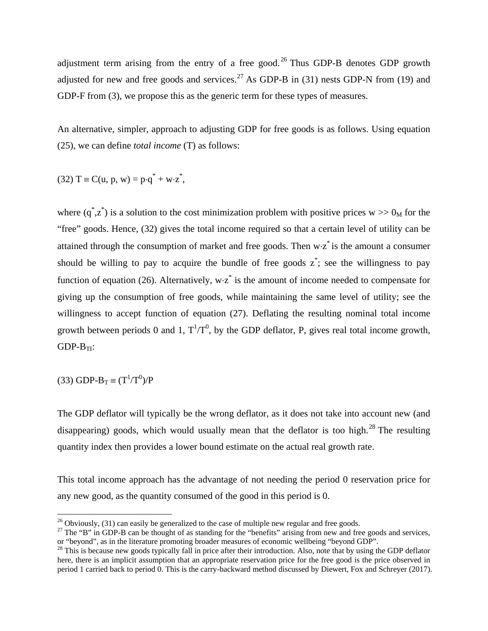adjustment term arising from the entry of a free good.<sup>[26](#page-17-0)</sup> Thus GDP-B denotes GDP growth adjusted for new and free goods and services.<sup>[27](#page-17-1)</sup> As GDP-B in  $(31)$  nests GDP-N from  $(19)$  and GDP-F from (3), we propose this as the generic term for these types of measures.

An alternative, simpler, approach to adjusting GDP for free goods is as follows. Using equation (25), we can define *total income* (T) as follows:

$$
(32) T \equiv C(u, p, w) = p \cdot q^* + w \cdot z^*,
$$

where  $(q^*, z^*)$  is a solution to the cost minimization problem with positive prices w  $> 0_M$  for the "free" goods. Hence, (32) gives the total income required so that a certain level of utility can be attained through the consumption of market and free goods. Then  $w·z^*$  is the amount a consumer should be willing to pay to acquire the bundle of free goods  $z^*$ ; see the willingness to pay function of equation (26). Alternatively,  $w \cdot z^*$  is the amount of income needed to compensate for giving up the consumption of free goods, while maintaining the same level of utility; see the willingness to accept function of equation (27). Deflating the resulting nominal total income growth between periods 0 and 1,  $T^1/T^0$ , by the GDP deflator, P, gives real total income growth,  $GDP-B_{TI}$ :

 $(33)$  GDP-B<sub>T</sub> =  $(T^1/T^0)/P$ 

The GDP deflator will typically be the wrong deflator, as it does not take into account new (and disappearing) goods, which would usually mean that the deflator is too high.<sup>[28](#page-17-2)</sup> The resulting quantity index then provides a lower bound estimate on the actual real growth rate.

This total income approach has the advantage of not needing the period 0 reservation price for any new good, as the quantity consumed of the good in this period is 0.

<span id="page-17-0"></span><sup>&</sup>lt;sup>26</sup> Obviously, (31) can easily be generalized to the case of multiple new regular and free goods.<br><sup>27</sup> The "B" in GDP-B can be thought of as standing for the "benefits" arising from new and free goods and services,

<span id="page-17-1"></span>or "beyond", as in the literature promoting broader measures of economic wellbeing "beyond GDP".

<span id="page-17-2"></span> $^{28}$  This is because new goods typically fall in price after their introduction. Also, note that by using the GDP deflator here, there is an implicit assumption that an appropriate reservation price for the free good is the price observed in period 1 carried back to period 0. This is the carry-backward method discussed by Diewert, Fox and Schreyer (2017).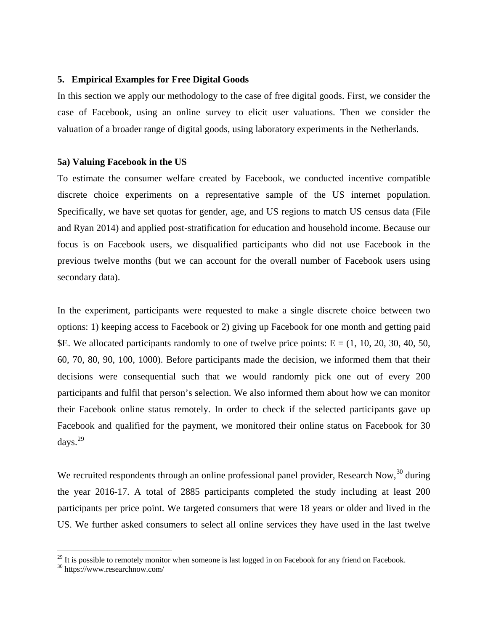## **5. Empirical Examples for Free Digital Goods**

In this section we apply our methodology to the case of free digital goods. First, we consider the case of Facebook, using an online survey to elicit user valuations. Then we consider the valuation of a broader range of digital goods, using laboratory experiments in the Netherlands.

### **5a) Valuing Facebook in the US**

To estimate the consumer welfare created by Facebook, we conducted incentive compatible discrete choice experiments on a representative sample of the US internet population. Specifically, we have set quotas for gender, age, and US regions to match US census data (File and Ryan 2014) and applied post-stratification for education and household income. Because our focus is on Facebook users, we disqualified participants who did not use Facebook in the previous twelve months (but we can account for the overall number of Facebook users using secondary data).

In the experiment, participants were requested to make a single discrete choice between two options: 1) keeping access to Facebook or 2) giving up Facebook for one month and getting paid \$E. We allocated participants randomly to one of twelve price points: E = (1, 10, 20, 30, 40, 50, 60, 70, 80, 90, 100, 1000). Before participants made the decision, we informed them that their decisions were consequential such that we would randomly pick one out of every 200 participants and fulfil that person's selection. We also informed them about how we can monitor their Facebook online status remotely. In order to check if the selected participants gave up Facebook and qualified for the payment, we monitored their online status on Facebook for 30 days. [29](#page-18-0)

We recruited respondents through an online professional panel provider, Research Now,<sup>[30](#page-18-1)</sup> during the year 2016-17. A total of 2885 participants completed the study including at least 200 participants per price point. We targeted consumers that were 18 years or older and lived in the US. We further asked consumers to select all online services they have used in the last twelve

<span id="page-18-1"></span><span id="page-18-0"></span><sup>&</sup>lt;sup>29</sup> It is possible to remotely monitor when someone is last logged in on Facebook for any friend on Facebook. <sup>30</sup> https://www.researchnow.com/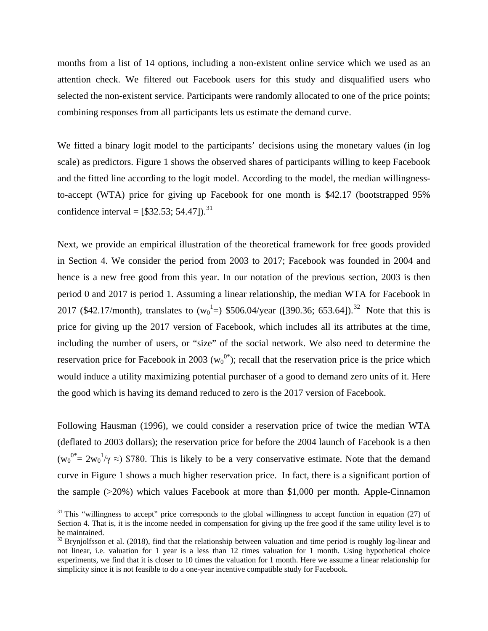months from a list of 14 options, including a non-existent online service which we used as an attention check. We filtered out Facebook users for this study and disqualified users who selected the non-existent service. Participants were randomly allocated to one of the price points; combining responses from all participants lets us estimate the demand curve.

We fitted a binary logit model to the participants' decisions using the monetary values (in log scale) as predictors. Figure 1 shows the observed shares of participants willing to keep Facebook and the fitted line according to the logit model. According to the model, the median willingnessto-accept (WTA) price for giving up Facebook for one month is \$42.17 (bootstrapped 95% confidence interval =  $[$32.53; 54.47]$ .<sup>[31](#page-19-0)</sup>

Next, we provide an empirical illustration of the theoretical framework for free goods provided in Section 4. We consider the period from 2003 to 2017; Facebook was founded in 2004 and hence is a new free good from this year. In our notation of the previous section, 2003 is then period 0 and 2017 is period 1. Assuming a linear relationship, the median WTA for Facebook in 2017 (\$42.17/month), translates to  $(w_0^1=)$  \$506.04/year ([390.36; 653.64]).<sup>[32](#page-19-1)</sup> Note that this is price for giving up the 2017 version of Facebook, which includes all its attributes at the time, including the number of users, or "size" of the social network. We also need to determine the reservation price for Facebook in 2003 ( $w_0^{0*}$ ); recall that the reservation price is the price which would induce a utility maximizing potential purchaser of a good to demand zero units of it. Here the good which is having its demand reduced to zero is the 2017 version of Facebook.

Following Hausman (1996), we could consider a reservation price of twice the median WTA (deflated to 2003 dollars); the reservation price for before the 2004 launch of Facebook is a then  $(w_0^{0*} = 2w_0^1/\gamma \approx 0)$  \$780. This is likely to be a very conservative estimate. Note that the demand curve in Figure 1 shows a much higher reservation price. In fact, there is a significant portion of the sample (>20%) which values Facebook at more than \$1,000 per month. Apple-Cinnamon

<span id="page-19-0"></span> $31$  This "willingness to accept" price corresponds to the global willingness to accept function in equation (27) of Section 4. That is, it is the income needed in compensation for giving up the free good if the same utility level is to be maintained.

<span id="page-19-1"></span> $32$  Brynjolfsson et al. (2018), find that the relationship between valuation and time period is roughly log-linear and not linear, i.e. valuation for 1 year is a less than 12 times valuation for 1 month. Using hypothetical choice experiments, we find that it is closer to 10 times the valuation for 1 month. Here we assume a linear relationship for simplicity since it is not feasible to do a one-year incentive compatible study for Facebook.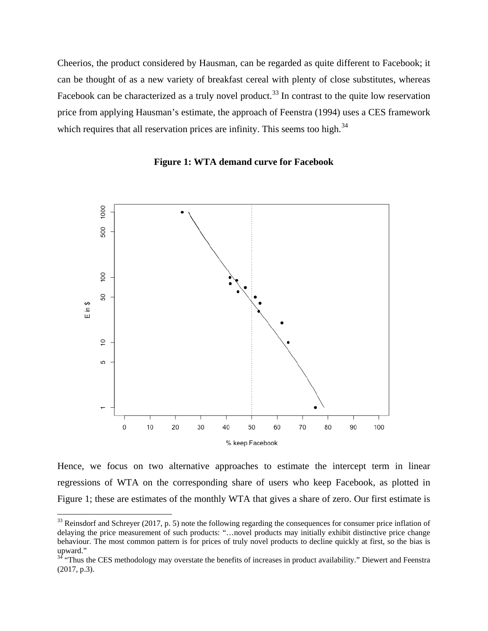Cheerios, the product considered by Hausman, can be regarded as quite different to Facebook; it can be thought of as a new variety of breakfast cereal with plenty of close substitutes, whereas Facebook can be characterized as a truly novel product.<sup>[33](#page-20-0)</sup> In contrast to the quite low reservation price from applying Hausman's estimate, the approach of Feenstra (1994) uses a CES framework which requires that all reservation prices are infinity. This seems too high.<sup>[34](#page-20-1)</sup>





Hence, we focus on two alternative approaches to estimate the intercept term in linear regressions of WTA on the corresponding share of users who keep Facebook, as plotted in Figure 1; these are estimates of the monthly WTA that gives a share of zero. Our first estimate is

<span id="page-20-0"></span> $33$  Reinsdorf and Schreyer (2017, p. 5) note the following regarding the consequences for consumer price inflation of delaying the price measurement of such products: "…novel products may initially exhibit distinctive price change behaviour. The most common pattern is for prices of truly novel products to decline quickly at first, so the bias is upward."

<span id="page-20-1"></span><sup>&</sup>lt;sup>34</sup> "Thus the CES methodology may overstate the benefits of increases in product availability." Diewert and Feenstra (2017, p.3).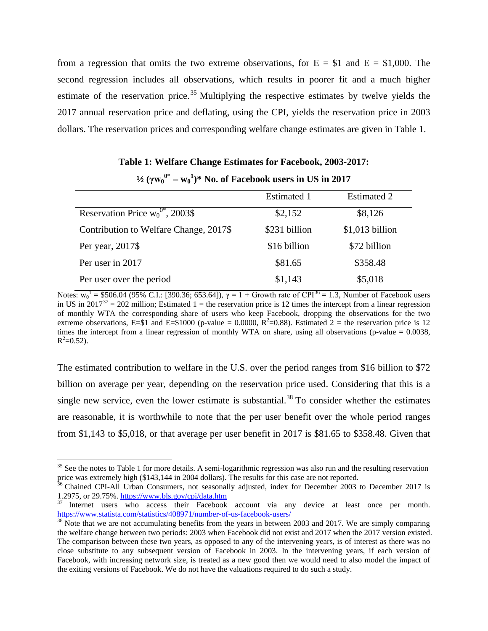from a regression that omits the two extreme observations, for  $E = $1$  and  $E = $1,000$ . The second regression includes all observations, which results in poorer fit and a much higher estimate of the reservation price.<sup>[35](#page-21-0)</sup> Multiplying the respective estimates by twelve yields the 2017 annual reservation price and deflating, using the CPI, yields the reservation price in 2003 dollars. The reservation prices and corresponding welfare change estimates are given in Table 1.

| $\frac{1}{2}(\gamma w_0^{0*} - w_0^1)^*$ No. of Facebook users in US in 2017 |               |                    |  |  |
|------------------------------------------------------------------------------|---------------|--------------------|--|--|
|                                                                              | Estimated 1   | <b>Estimated 2</b> |  |  |
| Reservation Price $w_0^{0*}$ , 2003\$                                        | \$2,152       | \$8,126            |  |  |
| Contribution to Welfare Change, 2017\$                                       | \$231 billion | $$1,013$ billion   |  |  |
| Per year, 2017\$                                                             | \$16 billion  | \$72 billion       |  |  |
| Per user in 2017                                                             | \$81.65       | \$358.48           |  |  |
| Per user over the period                                                     | \$1,143       | \$5,018            |  |  |

**Table 1: Welfare Change Estimates for Facebook, 2003-2017:** 

Notes:  $w_0^1$  = \$506.04 (95% C.I.: [390.[36](#page-21-1); 653.64]),  $\gamma = 1 +$  Growth rate of CPI<sup>36</sup> = 1.3, Number of Facebook users in US in  $2017^{37} = 202$  $2017^{37} = 202$  $2017^{37} = 202$  million; Estimated 1 = the reservation price is 12 times the intercept from a linear regression of monthly WTA the corresponding share of users who keep Facebook, dropping the observations for the two extreme observations, E=\$1 and E=\$1000 (p-value = 0.0000,  $R^2$ =0.88). Estimated 2 = the reservation price is 12 times the intercept from a linear regression of monthly WTA on share, using all observations (p-value  $= 0.0038$ ,  $R^2 = 0.52$ ).

The estimated contribution to welfare in the U.S. over the period ranges from \$16 billion to \$72 billion on average per year, depending on the reservation price used. Considering that this is a single new service, even the lower estimate is substantial.<sup>[38](#page-21-3)</sup> To consider whether the estimates are reasonable, it is worthwhile to note that the per user benefit over the whole period ranges from \$1,143 to \$5,018, or that average per user benefit in 2017 is \$81.65 to \$358.48. Given that

<span id="page-21-0"></span><sup>&</sup>lt;sup>35</sup> See the notes to Table 1 for more details. A semi-logarithmic regression was also run and the resulting reservation

<span id="page-21-1"></span>price was extremely high (\$143,144 in 2004 dollars). The results for this case are not reported.<br><sup>36</sup> Chained CPI-All Urban Consumers, not seasonally adjusted, index for December 2003 to December 2017 is 1.2975, or 29.75%.

<span id="page-21-2"></span><sup>&</sup>lt;sup>37</sup> Internet users who access their Facebook account via any device at least once per month.<br>https://www.statista.com/statistics/408971/number-of-us-facebook-users/

<span id="page-21-3"></span> $\frac{38}{38}$  Note that we are not accumulating benefits from the years in between 2003 and 2017. We are simply comparing the welfare change between two periods: 2003 when Facebook did not exist and 2017 when the 2017 version existed. The comparison between these two years, as opposed to any of the intervening years, is of interest as there was no close substitute to any subsequent version of Facebook in 2003. In the intervening years, if each version of Facebook, with increasing network size, is treated as a new good then we would need to also model the impact of the exiting versions of Facebook. We do not have the valuations required to do such a study.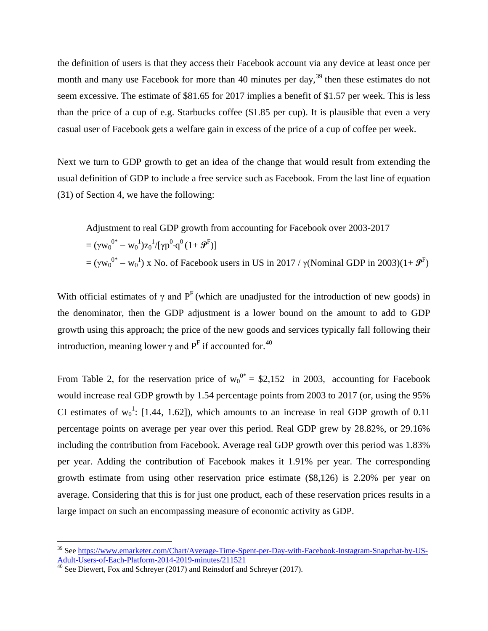the definition of users is that they access their Facebook account via any device at least once per month and many use Facebook for more than 40 minutes per day,  $39$  then these estimates do not seem excessive. The estimate of \$81.65 for 2017 implies a benefit of \$1.57 per week. This is less than the price of a cup of e.g. Starbucks coffee (\$1.85 per cup). It is plausible that even a very casual user of Facebook gets a welfare gain in excess of the price of a cup of coffee per week.

Next we turn to GDP growth to get an idea of the change that would result from extending the usual definition of GDP to include a free service such as Facebook. From the last line of equation (31) of Section 4, we have the following:

Adjustment to real GDP growth from accounting for Facebook over 2003-2017  $= (\gamma w_0^{\,0*} - w_0^{\,1}) z_0^{\,1} / [\gamma p^0 \!\!\cdot\!\! q^0 \, (1\!+\bm{\mathcal{F}}^{\rm F})]$ = (γw<sub>0</sub><sup>0\*</sup> – w<sub>0</sub><sup>1</sup>) x No. of Facebook users in US in 2017 / γ(Nominal GDP in 2003)(1+  $\mathcal{P}^{\text{F}}$ )

With official estimates of  $\gamma$  and P<sup>F</sup> (which are unadjusted for the introduction of new goods) in the denominator, then the GDP adjustment is a lower bound on the amount to add to GDP growth using this approach; the price of the new goods and services typically fall following their introduction, meaning lower  $\gamma$  and  $P<sup>F</sup>$  if accounted for.<sup>[40](#page-22-1)</sup>

From Table 2, for the reservation price of  $w_0^{0*} = $2,152$  in 2003, accounting for Facebook would increase real GDP growth by 1.54 percentage points from 2003 to 2017 (or, using the 95% CI estimates of  $w_0$ <sup>1</sup>: [1.44, 1.62]), which amounts to an increase in real GDP growth of 0.11 percentage points on average per year over this period. Real GDP grew by 28.82%, or 29.16% including the contribution from Facebook. Average real GDP growth over this period was 1.83% per year. Adding the contribution of Facebook makes it 1.91% per year. The corresponding growth estimate from using other reservation price estimate (\$8,126) is 2.20% per year on average. Considering that this is for just one product, each of these reservation prices results in a large impact on such an encompassing measure of economic activity as GDP.

<span id="page-22-0"></span><sup>&</sup>lt;sup>39</sup> See [https://www.emarketer.com/Chart/Average-Time-Spent-per-Day-with-Facebook-Instagram-Snapchat-by-US-](https://www.emarketer.com/Chart/Average-Time-Spent-per-Day-with-Facebook-Instagram-Snapchat-by-US-Adult-Users-of-Each-Platform-2014-2019-minutes/211521)[Adult-Users-of-Each-Platform-2014-2019-minutes/211521](https://www.emarketer.com/Chart/Average-Time-Spent-per-Day-with-Facebook-Instagram-Snapchat-by-US-Adult-Users-of-Each-Platform-2014-2019-minutes/211521)<br><sup>40</sup> See Diewert, Fox and Schreyer (2017) and Reinsdorf and Schreyer (2017).

<span id="page-22-1"></span>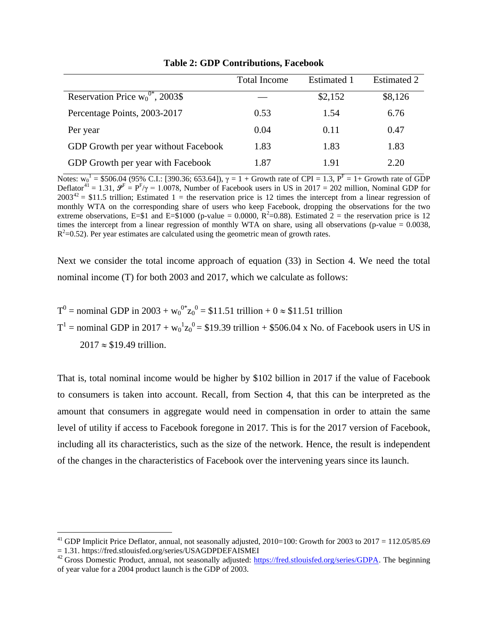|                                       | <b>Total Income</b> | <b>Estimated 1</b> | <b>Estimated 2</b> |
|---------------------------------------|---------------------|--------------------|--------------------|
| Reservation Price $w_0^{0*}$ , 2003\$ |                     | \$2,152            | \$8,126            |
| Percentage Points, 2003-2017          | 0.53                | 1.54               | 6.76               |
| Per year                              | 0.04                | 0.11               | 0.47               |
| GDP Growth per year without Facebook  | 1.83                | 1.83               | 1.83               |
| GDP Growth per year with Facebook     | 1.87                | 1.91               | 2.20               |

**Table 2: GDP Contributions, Facebook**

Notes:  $w_0^1$  = \$506.04 (95% C.I.: [390.36; 653.64]),  $\gamma = 1 + G$ rowth rate of CPI = 1.3,  $P^F = 1 + G$ rowth rate of GDP Deflator<sup>[41](#page-23-0)</sup> = 1.31,  $\mathcal{P}^F = P^F/\gamma = 1.0078$ , Number of Facebook users in US in 2017 = 202 million, Nominal GDP for  $2003^{42} = $11.5$  $2003^{42} = $11.5$  $2003^{42} = $11.5$  trillion; Estimated 1 = the reservation price is 12 times the intercept from a linear regression of monthly WTA on the corresponding share of users who keep Facebook, dropping the observations for the two extreme observations, E=\$1 and E=\$1000 (p-value = 0.0000,  $R^2$ =0.88). Estimated 2 = the reservation price is 12 times the intercept from a linear regression of monthly WTA on share, using all observations (p-value  $= 0.0038$ ,  $R<sup>2</sup>=0.52$ ). Per year estimates are calculated using the geometric mean of growth rates.

Next we consider the total income approach of equation (33) in Section 4. We need the total nominal income (T) for both 2003 and 2017, which we calculate as follows:

$$
T^0
$$
 = nominal GDP in 2003 +  $w_0^{0*}z_0^0$  = \$11.51 trillion + 0  $\approx$  \$11.51 trillion

 $T^1$  = nominal GDP in 2017 +  $w_0^1 z_0^0$  = \$19.39 trillion + \$506.04 x No. of Facebook users in US in  $2017 \approx $19.49$  trillion.

That is, total nominal income would be higher by \$102 billion in 2017 if the value of Facebook to consumers is taken into account. Recall, from Section 4, that this can be interpreted as the amount that consumers in aggregate would need in compensation in order to attain the same level of utility if access to Facebook foregone in 2017. This is for the 2017 version of Facebook, including all its characteristics, such as the size of the network. Hence, the result is independent of the changes in the characteristics of Facebook over the intervening years since its launch.

<span id="page-23-0"></span><sup>&</sup>lt;sup>41</sup> GDP Implicit Price Deflator, annual, not seasonally adjusted,  $2010=100$ : Growth for  $2003$  to  $2017 = 112.05/85.69$ <br>= 1.31. https://fred.stlouisfed.org/series/USAGDPDEFAISMEI

<span id="page-23-1"></span><sup>&</sup>lt;sup>42</sup> Gross Domestic Product, annual, not seasonally adjusted: [https://fred.stlouisfed.org/series/GDPA.](https://fred.stlouisfed.org/series/GDPA) The beginning of year value for a 2004 product launch is the GDP of 2003.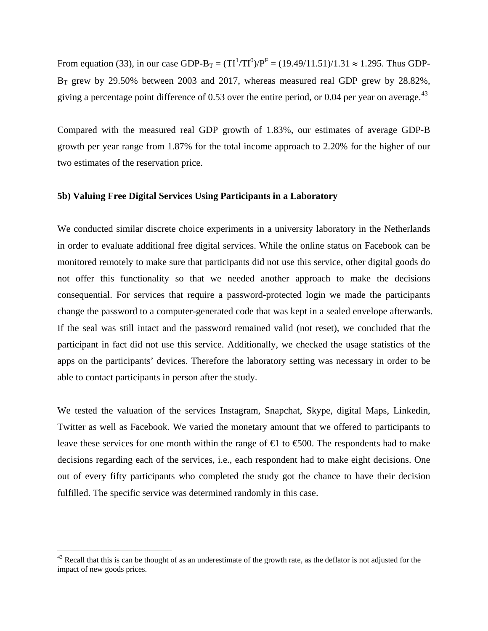From equation (33), in our case GDP-B<sub>T</sub> =  $(TI^1/TI^0)/P^F = (19.49/11.51)/1.31 \approx 1.295$ . Thus GDP- $B_T$  grew by 29.50% between 2003 and 2017, whereas measured real GDP grew by 28.82%, giving a percentage point difference of 0.53 over the entire period, or 0.04 per year on average.  $^{43}$  $^{43}$  $^{43}$ 

Compared with the measured real GDP growth of 1.83%, our estimates of average GDP-B growth per year range from 1.87% for the total income approach to 2.20% for the higher of our two estimates of the reservation price.

#### **5b) Valuing Free Digital Services Using Participants in a Laboratory**

We conducted similar discrete choice experiments in a university laboratory in the Netherlands in order to evaluate additional free digital services. While the online status on Facebook can be monitored remotely to make sure that participants did not use this service, other digital goods do not offer this functionality so that we needed another approach to make the decisions consequential. For services that require a password-protected login we made the participants change the password to a computer-generated code that was kept in a sealed envelope afterwards. If the seal was still intact and the password remained valid (not reset), we concluded that the participant in fact did not use this service. Additionally, we checked the usage statistics of the apps on the participants' devices. Therefore the laboratory setting was necessary in order to be able to contact participants in person after the study.

We tested the valuation of the services Instagram, Snapchat, Skype, digital Maps, Linkedin, Twitter as well as Facebook. We varied the monetary amount that we offered to participants to leave these services for one month within the range of  $\bigoplus$  to  $\bigoplus$  00. The respondents had to make decisions regarding each of the services, i.e., each respondent had to make eight decisions. One out of every fifty participants who completed the study got the chance to have their decision fulfilled. The specific service was determined randomly in this case.

<span id="page-24-0"></span><sup>&</sup>lt;sup>43</sup> Recall that this is can be thought of as an underestimate of the growth rate, as the deflator is not adjusted for the impact of new goods prices.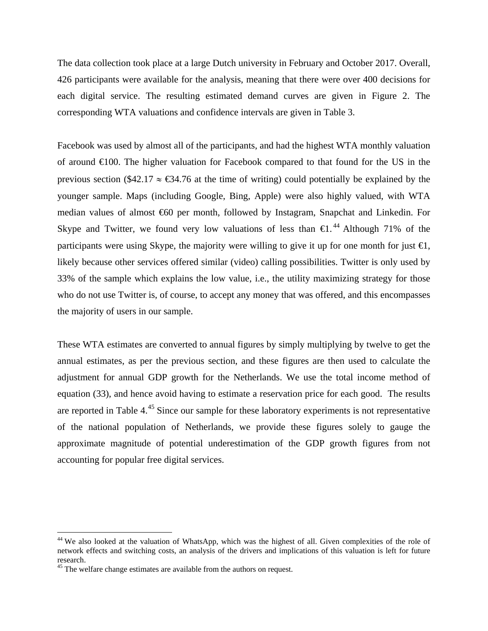The data collection took place at a large Dutch university in February and October 2017. Overall, 426 participants were available for the analysis, meaning that there were over 400 decisions for each digital service. The resulting estimated demand curves are given in Figure 2. The corresponding WTA valuations and confidence intervals are given in Table 3.

Facebook was used by almost all of the participants, and had the highest WTA monthly valuation of around €100. The higher valuation for Facebook compared to that found for the US in the previous section (\$42.17  $\approx$  €34.76 at the time of writing) could potentially be explained by the younger sample. Maps (including Google, Bing, Apple) were also highly valued, with WTA median values of almost €60 per month, followed by Instagram, Snapchat and Linkedin. For Skype and Twitter, we found very low valuations of less than  $\epsilon$ 1.<sup>[44](#page-25-0)</sup> Although 71% of the participants were using Skype, the majority were willing to give it up for one month for just  $\epsilon$ , likely because other services offered similar (video) calling possibilities. Twitter is only used by 33% of the sample which explains the low value, i.e., the utility maximizing strategy for those who do not use Twitter is, of course, to accept any money that was offered, and this encompasses the majority of users in our sample.

These WTA estimates are converted to annual figures by simply multiplying by twelve to get the annual estimates, as per the previous section, and these figures are then used to calculate the adjustment for annual GDP growth for the Netherlands. We use the total income method of equation (33), and hence avoid having to estimate a reservation price for each good. The results are reported in Table 4.<sup>[45](#page-25-1)</sup> Since our sample for these laboratory experiments is not representative of the national population of Netherlands, we provide these figures solely to gauge the approximate magnitude of potential underestimation of the GDP growth figures from not accounting for popular free digital services.

<span id="page-25-0"></span><sup>&</sup>lt;sup>44</sup> We also looked at the valuation of WhatsApp, which was the highest of all. Given complexities of the role of network effects and switching costs, an analysis of the drivers and implications of this valuation is left for future research.

<span id="page-25-1"></span><sup>&</sup>lt;sup>45</sup> The welfare change estimates are available from the authors on request.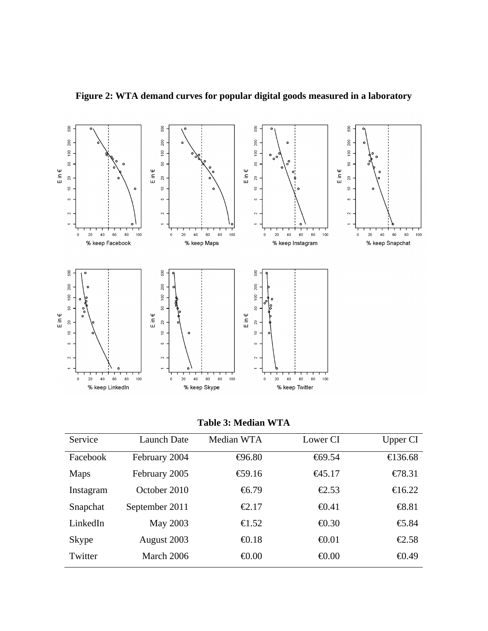

**Figure 2: WTA demand curves for popular digital goods measured in a laboratory**

**Table 3: Median WTA**

| Service   | <b>Launch Date</b> | Median WTA               | Lower CI                  | Upper CI                         |
|-----------|--------------------|--------------------------|---------------------------|----------------------------------|
| Facebook  | February 2004      | $\bigoplus$ 6.80         | $\textcolor{blue}{69.54}$ | €136.68                          |
| Maps      | February 2005      | €9.16                    | $-645.17$                 | $\bigoplus$ 8.31                 |
| Instagram | October 2010       | $\textcolor{red}{66.79}$ | $\bigoplus .53$           | €16.22                           |
| Snapchat  | September 2011     | $\epsilon$ 2.17          | $\bigoplus$ .41           | $\bigoplus$ 8.81                 |
| LinkedIn  | May 2003           | $\epsilon$ 1.52          | $\bigoplus$ 30            | $\textcolor{red}{\bigoplus}$ .84 |
| Skype     | August 2003        | $\bigoplus$ .18          | $\bigoplus$ 01            | €2.58                            |
| Twitter   | March 2006         | $\epsilon 0.00$          | $\epsilon 0.00$           | $\bigoplus .49$                  |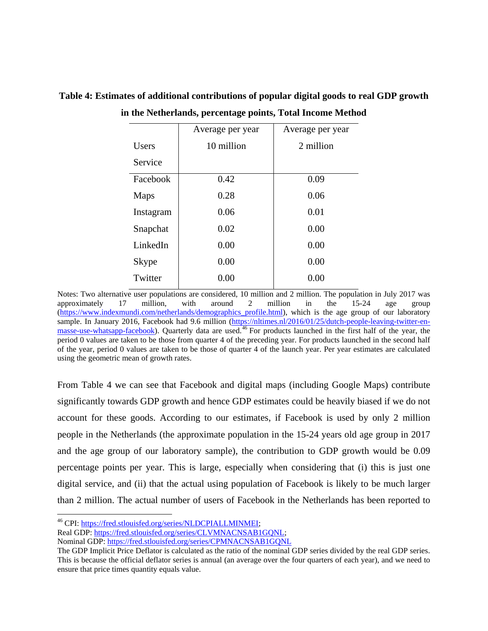|              | Average per year | Average per year |
|--------------|------------------|------------------|
| <b>Users</b> | 10 million       | 2 million        |
| Service      |                  |                  |
| Facebook     | 0.42             | 0.09             |
| Maps         | 0.28             | 0.06             |
| Instagram    | 0.06             | 0.01             |
| Snapchat     | 0.02             | 0.00             |
| LinkedIn     | 0.00             | 0.00             |
| <b>Skype</b> | 0.00             | 0.00             |
| Twitter      | 0.00             | 0.00             |

**Table 4: Estimates of additional contributions of popular digital goods to real GDP growth in the Netherlands, percentage points, Total Income Method**

Notes: Two alternative user populations are considered, 10 million and 2 million. The population in July 2017 was approximately 17 million, with around 2 million in the 15-24 age group (https://www.indexmundi.com/netherlands/demographics profile.html), which is the age group of our laboratory sample. In January 2016, Facebook had 9.6 million [\(https://nltimes.nl/2016/01/25/dutch-people-leaving-twitter-en](https://nltimes.nl/2016/01/25/dutch-people-leaving-twitter-en-masse-use-whatsapp-facebook)[masse-use-whatsapp-facebook\)](https://nltimes.nl/2016/01/25/dutch-people-leaving-twitter-en-masse-use-whatsapp-facebook). Quarterly data are used.<sup>[46](#page-27-0)</sup> For products launched in the first half of the year, the period 0 values are taken to be those from quarter 4 of the preceding year. For products launched in the second half of the year, period 0 values are taken to be those of quarter 4 of the launch year. Per year estimates are calculated using the geometric mean of growth rates.

From Table 4 we can see that Facebook and digital maps (including Google Maps) contribute significantly towards GDP growth and hence GDP estimates could be heavily biased if we do not account for these goods. According to our estimates, if Facebook is used by only 2 million people in the Netherlands (the approximate population in the 15-24 years old age group in 2017 and the age group of our laboratory sample), the contribution to GDP growth would be 0.09 percentage points per year. This is large, especially when considering that (i) this is just one digital service, and (ii) that the actual using population of Facebook is likely to be much larger than 2 million. The actual number of users of Facebook in the Netherlands has been reported to

<span id="page-27-0"></span> <sup>46</sup> CPI: [https://fred.stlouisfed.org/series/NLDCPIALLMINMEI;](https://fred.stlouisfed.org/series/NLDCPIALLMINMEI)

Real GDP: https://fred.stlouisfed.org/series/CLVMNACNSAB1GONL;

Nominal GDP:<https://fred.stlouisfed.org/series/CPMNACNSAB1GQNL>

The GDP Implicit Price Deflator is calculated as the ratio of the nominal GDP series divided by the real GDP series. This is because the official deflator series is annual (an average over the four quarters of each year), and we need to ensure that price times quantity equals value.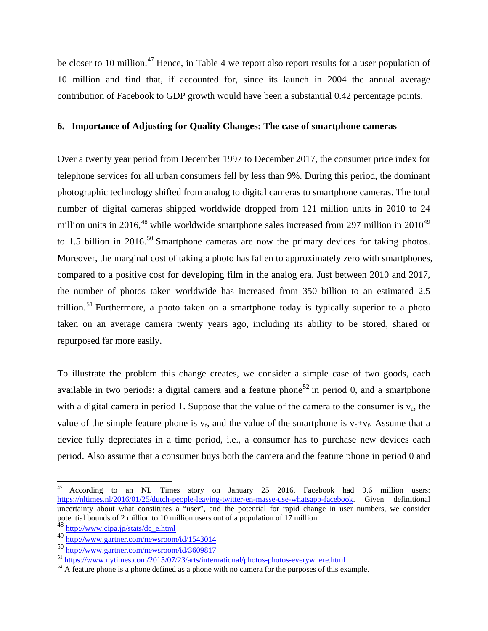be closer to 10 million.<sup>[47](#page-28-0)</sup> Hence, in Table 4 we report also report results for a user population of 10 million and find that, if accounted for, since its launch in 2004 the annual average contribution of Facebook to GDP growth would have been a substantial 0.42 percentage points.

## **6. Importance of Adjusting for Quality Changes: The case of smartphone cameras**

Over a twenty year period from December 1997 to December 2017, the consumer price index for telephone services for all urban consumers fell by less than 9%. During this period, the dominant photographic technology shifted from analog to digital cameras to smartphone cameras. The total number of digital cameras shipped worldwide dropped from 121 million units in 2010 to 24 million units in 2016,<sup>[48](#page-28-1)</sup> while worldwide smartphone sales increased from 297 million in 2010<sup>[49](#page-28-2)</sup> to 1.5 billion in 2016.<sup>[50](#page-28-3)</sup> Smartphone cameras are now the primary devices for taking photos. Moreover, the marginal cost of taking a photo has fallen to approximately zero with smartphones, compared to a positive cost for developing film in the analog era. Just between 2010 and 2017, the number of photos taken worldwide has increased from 350 billion to an estimated 2.5 trillion.<sup>[51](#page-28-4)</sup> Furthermore, a photo taken on a smartphone today is typically superior to a photo taken on an average camera twenty years ago, including its ability to be stored, shared or repurposed far more easily.

To illustrate the problem this change creates, we consider a simple case of two goods, each available in two periods: a digital camera and a feature phone<sup>[52](#page-28-5)</sup> in period 0, and a smartphone with a digital camera in period 1. Suppose that the value of the camera to the consumer is  $v_c$ , the value of the simple feature phone is  $v_f$ , and the value of the smartphone is  $v_c + v_f$ . Assume that a device fully depreciates in a time period, i.e., a consumer has to purchase new devices each period. Also assume that a consumer buys both the camera and the feature phone in period 0 and

<span id="page-28-0"></span>According to an NL Times story on January 25 2016, Facebook had 9.6 million users:<br>  $\frac{1}{2016}$  According to an NL Times story on January 25 2016, Facebook had 9.6 million users: https://nltimes.nl/2016/01/25/dutch-people-leaving-twitter-en-masse-use-whatsapp-facebook. uncertainty about what constitutes a "user", and the potential for rapid change in user numbers, we consider potential bounds of 2 million to 10 million users out of a population of 17 million.

<span id="page-28-1"></span><sup>&</sup>lt;sup>48</sup> [http://www.cipa.jp/stats/dc\\_e.html](http://www.cipa.jp/stats/dc_e.html)

<span id="page-28-2"></span><sup>49</sup> <http://www.gartner.com/newsroom/id/1543014>

<sup>50</sup> <http://www.gartner.com/newsroom/id/3609817>

<span id="page-28-5"></span><span id="page-28-4"></span><span id="page-28-3"></span> $\frac{\text{J}}{\text{J}}$  <https://www.nytimes.com/2015/07/23/arts/international/photos-photos-everywhere.html><br> $\frac{\text{J}}{\text{J}}$  A feature phone is a phone defined as a phone with no camera for the purposes of this example.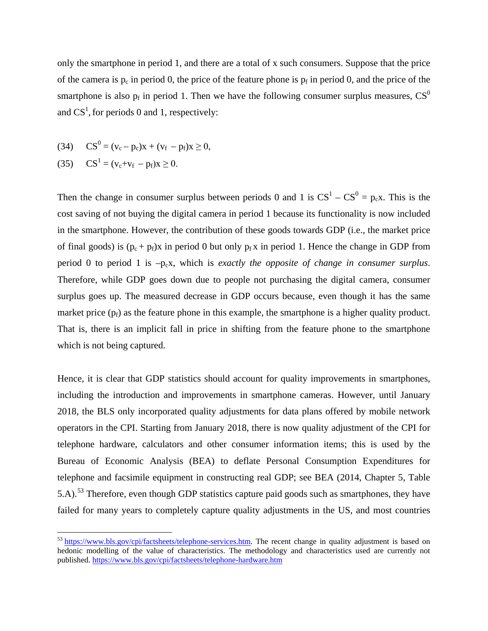only the smartphone in period 1, and there are a total of x such consumers. Suppose that the price of the camera is  $p_c$  in period 0, the price of the feature phone is  $p_f$  in period 0, and the price of the smartphone is also  $p_f$  in period 1. Then we have the following consumer surplus measures,  $CS^0$ and  $CS<sup>1</sup>$ , for periods 0 and 1, respectively:

(34) 
$$
CS^0 = (v_c - p_c)x + (v_f - p_f)x \ge 0,
$$

(35)  $CS^1 = (v_c + v_f - p_f)x \ge 0.$ 

Then the change in consumer surplus between periods 0 and 1 is  $CS^1 - CS^0 = p_c x$ . This is the cost saving of not buying the digital camera in period 1 because its functionality is now included in the smartphone. However, the contribution of these goods towards GDP (i.e., the market price of final goods) is  $(p_c + p_f)x$  in period 0 but only  $p_f x$  in period 1. Hence the change in GDP from period 0 to period 1 is –pcx, which is *exactly the opposite of change in consumer surplus*. Therefore, while GDP goes down due to people not purchasing the digital camera, consumer surplus goes up. The measured decrease in GDP occurs because, even though it has the same market price  $(p_f)$  as the feature phone in this example, the smartphone is a higher quality product. That is, there is an implicit fall in price in shifting from the feature phone to the smartphone which is not being captured.

Hence, it is clear that GDP statistics should account for quality improvements in smartphones, including the introduction and improvements in smartphone cameras. However, until January 2018, the BLS only incorporated quality adjustments for data plans offered by mobile network operators in the CPI. Starting from January 2018, there is now quality adjustment of the CPI for telephone hardware, calculators and other consumer information items; this is used by the Bureau of Economic Analysis (BEA) to deflate Personal Consumption Expenditures for telephone and facsimile equipment in constructing real GDP; see BEA (2014, Chapter 5, Table 5.A).<sup>[53](#page-29-0)</sup> Therefore, even though GDP statistics capture paid goods such as smartphones, they have failed for many years to completely capture quality adjustments in the US, and most countries

<span id="page-29-0"></span><sup>&</sup>lt;sup>53</sup> [https://www.bls.gov/cpi/factsheets/telephone-services.htm.](https://www.bls.gov/cpi/factsheets/telephone-services.htm) The recent change in quality adjustment is based on hedonic modelling of the value of characteristics. The methodology and characteristics used are currently not published.<https://www.bls.gov/cpi/factsheets/telephone-hardware.htm>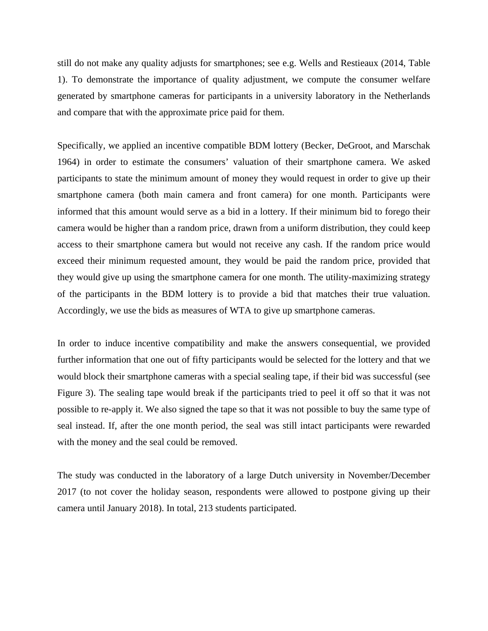still do not make any quality adjusts for smartphones; see e.g. Wells and Restieaux (2014, Table 1). To demonstrate the importance of quality adjustment, we compute the consumer welfare generated by smartphone cameras for participants in a university laboratory in the Netherlands and compare that with the approximate price paid for them.

Specifically, we applied an incentive compatible BDM lottery (Becker, DeGroot, and Marschak 1964) in order to estimate the consumers' valuation of their smartphone camera. We asked participants to state the minimum amount of money they would request in order to give up their smartphone camera (both main camera and front camera) for one month. Participants were informed that this amount would serve as a bid in a lottery. If their minimum bid to forego their camera would be higher than a random price, drawn from a uniform distribution, they could keep access to their smartphone camera but would not receive any cash. If the random price would exceed their minimum requested amount, they would be paid the random price, provided that they would give up using the smartphone camera for one month. The utility-maximizing strategy of the participants in the BDM lottery is to provide a bid that matches their true valuation. Accordingly, we use the bids as measures of WTA to give up smartphone cameras.

In order to induce incentive compatibility and make the answers consequential, we provided further information that one out of fifty participants would be selected for the lottery and that we would block their smartphone cameras with a special sealing tape, if their bid was successful (see Figure 3). The sealing tape would break if the participants tried to peel it off so that it was not possible to re-apply it. We also signed the tape so that it was not possible to buy the same type of seal instead. If, after the one month period, the seal was still intact participants were rewarded with the money and the seal could be removed.

The study was conducted in the laboratory of a large Dutch university in November/December 2017 (to not cover the holiday season, respondents were allowed to postpone giving up their camera until January 2018). In total, 213 students participated.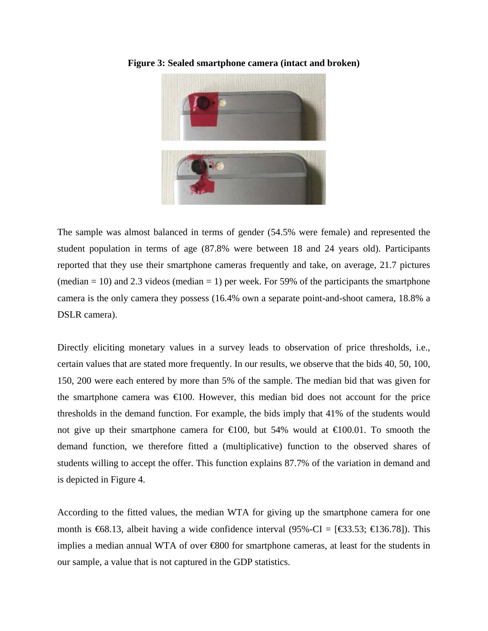

**Figure 3: Sealed smartphone camera (intact and broken)**

The sample was almost balanced in terms of gender (54.5% were female) and represented the student population in terms of age (87.8% were between 18 and 24 years old). Participants reported that they use their smartphone cameras frequently and take, on average, 21.7 pictures (median  $= 10$ ) and 2.3 videos (median  $= 1$ ) per week. For 59% of the participants the smartphone camera is the only camera they possess (16.4% own a separate point-and-shoot camera, 18.8% a DSLR camera).

Directly eliciting monetary values in a survey leads to observation of price thresholds, i.e., certain values that are stated more frequently. In our results, we observe that the bids 40, 50, 100, 150, 200 were each entered by more than 5% of the sample. The median bid that was given for the smartphone camera was  $\epsilon 100$ . However, this median bid does not account for the price thresholds in the demand function. For example, the bids imply that 41% of the students would not give up their smartphone camera for  $\in 100$ , but 54% would at  $\in 100.01$ . To smooth the demand function, we therefore fitted a (multiplicative) function to the observed shares of students willing to accept the offer. This function explains 87.7% of the variation in demand and is depicted in Figure 4.

According to the fitted values, the median WTA for giving up the smartphone camera for one month is  $\text{\textsterling}68.13$ , albeit having a wide confidence interval (95%-CI = [ $\text{\textsterling}3.53$ ;  $\text{\textsterling}136.78$ ]). This implies a median annual WTA of over €800 for smartphone cameras, at least for the students in our sample, a value that is not captured in the GDP statistics.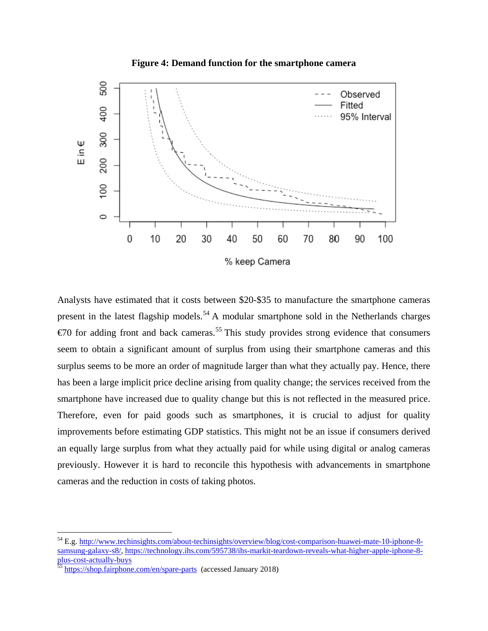



Analysts have estimated that it costs between \$20-\$35 to manufacture the smartphone cameras present in the latest flagship models.<sup>[54](#page-32-0)</sup> A modular smartphone sold in the Netherlands charges  $\epsilon$  50 for adding front and back cameras.<sup>[55](#page-32-1)</sup> This study provides strong evidence that consumers seem to obtain a significant amount of surplus from using their smartphone cameras and this surplus seems to be more an order of magnitude larger than what they actually pay. Hence, there has been a large implicit price decline arising from quality change; the services received from the smartphone have increased due to quality change but this is not reflected in the measured price. Therefore, even for paid goods such as smartphones, it is crucial to adjust for quality improvements before estimating GDP statistics. This might not be an issue if consumers derived an equally large surplus from what they actually paid for while using digital or analog cameras previously. However it is hard to reconcile this hypothesis with advancements in smartphone cameras and the reduction in costs of taking photos.

<span id="page-32-0"></span> <sup>54</sup> E.g[. http://www.techinsights.com/about-techinsights/overview/blog/cost-comparison-huawei-mate-10-iphone-8](http://www.techinsights.com/about-techinsights/overview/blog/cost-comparison-huawei-mate-10-iphone-8-samsung-galaxy-s8/) [samsung-galaxy-s8/,](http://www.techinsights.com/about-techinsights/overview/blog/cost-comparison-huawei-mate-10-iphone-8-samsung-galaxy-s8/) [https://technology.ihs.com/595738/ihs-markit-teardown-reveals-what-higher-apple-iphone-8-](https://technology.ihs.com/595738/ihs-markit-teardown-reveals-what-higher-apple-iphone-8-plus-cost-actually-buys)<br>plus-cost-actually-buys<br>55 https://chan failules

<span id="page-32-1"></span><https://shop.fairphone.com/en/spare-parts>(accessed January 2018)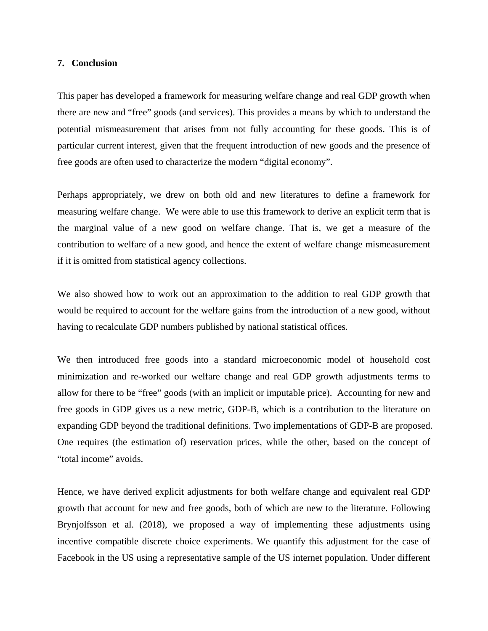## **7. Conclusion**

This paper has developed a framework for measuring welfare change and real GDP growth when there are new and "free" goods (and services). This provides a means by which to understand the potential mismeasurement that arises from not fully accounting for these goods. This is of particular current interest, given that the frequent introduction of new goods and the presence of free goods are often used to characterize the modern "digital economy".

Perhaps appropriately, we drew on both old and new literatures to define a framework for measuring welfare change. We were able to use this framework to derive an explicit term that is the marginal value of a new good on welfare change. That is, we get a measure of the contribution to welfare of a new good, and hence the extent of welfare change mismeasurement if it is omitted from statistical agency collections.

We also showed how to work out an approximation to the addition to real GDP growth that would be required to account for the welfare gains from the introduction of a new good, without having to recalculate GDP numbers published by national statistical offices.

We then introduced free goods into a standard microeconomic model of household cost minimization and re-worked our welfare change and real GDP growth adjustments terms to allow for there to be "free" goods (with an implicit or imputable price). Accounting for new and free goods in GDP gives us a new metric, GDP-B, which is a contribution to the literature on expanding GDP beyond the traditional definitions. Two implementations of GDP-B are proposed. One requires (the estimation of) reservation prices, while the other, based on the concept of "total income" avoids.

Hence, we have derived explicit adjustments for both welfare change and equivalent real GDP growth that account for new and free goods, both of which are new to the literature. Following Brynjolfsson et al. (2018), we proposed a way of implementing these adjustments using incentive compatible discrete choice experiments. We quantify this adjustment for the case of Facebook in the US using a representative sample of the US internet population. Under different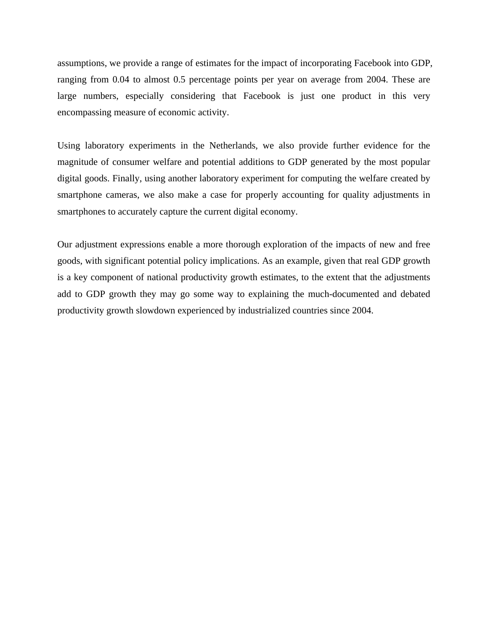assumptions, we provide a range of estimates for the impact of incorporating Facebook into GDP, ranging from 0.04 to almost 0.5 percentage points per year on average from 2004. These are large numbers, especially considering that Facebook is just one product in this very encompassing measure of economic activity.

Using laboratory experiments in the Netherlands, we also provide further evidence for the magnitude of consumer welfare and potential additions to GDP generated by the most popular digital goods. Finally, using another laboratory experiment for computing the welfare created by smartphone cameras, we also make a case for properly accounting for quality adjustments in smartphones to accurately capture the current digital economy.

Our adjustment expressions enable a more thorough exploration of the impacts of new and free goods, with significant potential policy implications. As an example, given that real GDP growth is a key component of national productivity growth estimates, to the extent that the adjustments add to GDP growth they may go some way to explaining the much-documented and debated productivity growth slowdown experienced by industrialized countries since 2004.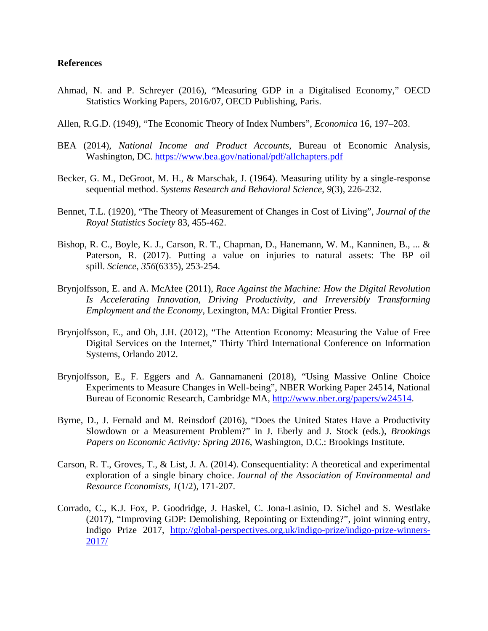# **References**

- Ahmad, N. and P. Schreyer (2016), "Measuring GDP in a Digitalised Economy," OECD Statistics Working Papers, 2016/07, OECD Publishing, Paris.
- Allen, R.G.D. (1949), "The Economic Theory of Index Numbers", *Economica* 16, 197–203.
- BEA (2014), *National Income and Product Accounts*, Bureau of Economic Analysis, Washington, DC.<https://www.bea.gov/national/pdf/allchapters.pdf>
- Becker, G. M., DeGroot, M. H., & Marschak, J. (1964). Measuring utility by a single-response sequential method. *Systems Research and Behavioral Science*, *9*(3), 226-232.
- Bennet, T.L. (1920), "The Theory of Measurement of Changes in Cost of Living", *Journal of the Royal Statistics Society* 83, 455-462.
- Bishop, R. C., Boyle, K. J., Carson, R. T., Chapman, D., Hanemann, W. M., Kanninen, B., ... & Paterson, R. (2017). Putting a value on injuries to natural assets: The BP oil spill. *Science*, *356*(6335), 253-254.
- Brynjolfsson, E. and A. McAfee (2011), *Race Against the Machine: How the Digital Revolution Is Accelerating Innovation, Driving Productivity, and Irreversibly Transforming Employment and the Economy*, Lexington, MA: Digital Frontier Press.
- Brynjolfsson, E., and Oh, J.H. (2012), "The Attention Economy: Measuring the Value of Free Digital Services on the Internet," Thirty Third International Conference on Information Systems, Orlando 2012.
- Brynjolfsson, E., F. Eggers and A. Gannamaneni (2018), "Using Massive Online Choice Experiments to Measure Changes in Well-being", NBER Working Paper 24514, National Bureau of Economic Research, Cambridge MA, [http://www.nber.org/papers/w24514.](http://www.nber.org/papers/w24514)
- Byrne, D., J. Fernald and M. Reinsdorf (2016), "Does the United States Have a Productivity Slowdown or a Measurement Problem?" in J. Eberly and J. Stock (eds.), *Brookings Papers on Economic Activity: Spring 2016*, Washington, D.C.: Brookings Institute.
- Carson, R. T., Groves, T., & List, J. A. (2014). Consequentiality: A theoretical and experimental exploration of a single binary choice. *Journal of the Association of Environmental and Resource Economists*, *1*(1/2), 171-207.
- Corrado, C., K.J. Fox, P. Goodridge, J. Haskel, C. Jona-Lasinio, D. Sichel and S. Westlake (2017), "Improving GDP: Demolishing, Repointing or Extending?", joint winning entry, Indigo Prize 2017, [http://global-perspectives.org.uk/indigo-prize/indigo-prize-winners-](http://global-perspectives.org.uk/indigo-prize/indigo-prize-winners-2017/)[2017/](http://global-perspectives.org.uk/indigo-prize/indigo-prize-winners-2017/)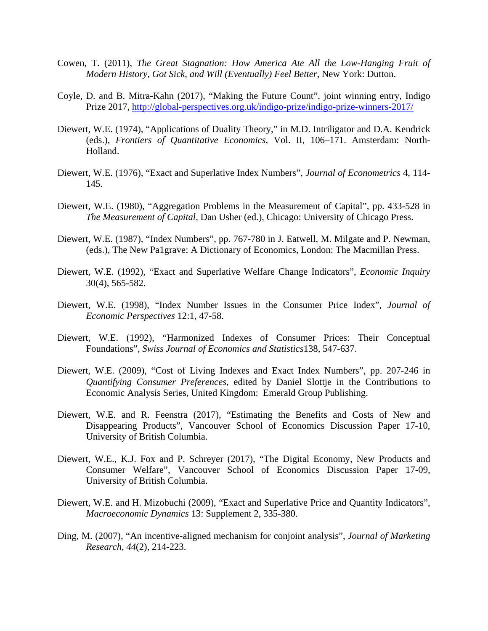- Cowen, T. (2011), *The Great Stagnation: How America Ate All the Low-Hanging Fruit of Modern History, Got Sick, and Will (Eventually) Feel Better*, New York: Dutton.
- Coyle, D. and B. Mitra-Kahn (2017), "Making the Future Count", joint winning entry, Indigo Prize 2017,<http://global-perspectives.org.uk/indigo-prize/indigo-prize-winners-2017/>
- Diewert, W.E. (1974), "Applications of Duality Theory," in M.D. Intriligator and D.A. Kendrick (eds.), *Frontiers of Quantitative Economics*, Vol. II, 106–171. Amsterdam: North-Holland.
- Diewert, W.E. (1976), "Exact and Superlative Index Numbers", *Journal of Econometrics* 4, 114- 145.
- Diewert, W.E. (1980), "Aggregation Problems in the Measurement of Capital", pp. 433-528 in *The Measurement of Capital*, Dan Usher (ed.), Chicago: University of Chicago Press.
- Diewert, W.E. (1987), "Index Numbers", pp. 767-780 in J. Eatwell, M. Milgate and P. Newman, (eds.), The New Pa1grave: A Dictionary of Economics, London: The Macmillan Press.
- Diewert, W.E. (1992), "Exact and Superlative Welfare Change Indicators", *Economic Inquiry* 30(4), 565-582.
- Diewert, W.E. (1998), "Index Number Issues in the Consumer Price Index", *Journal of Economic Perspectives* 12:1, 47-58.
- Diewert, W.E. (1992), "Harmonized Indexes of Consumer Prices: Their Conceptual Foundations", *Swiss Journal of Economics and Statistics*138, 547-637.
- Diewert, W.E. (2009), "Cost of Living Indexes and Exact Index Numbers", pp. 207-246 in *Quantifying Consumer Preferences*, edited by Daniel Slottje in the Contributions to Economic Analysis Series, United Kingdom: Emerald Group Publishing.
- Diewert, W.E. and R. Feenstra (2017), "Estimating the Benefits and Costs of New and Disappearing Products", Vancouver School of Economics Discussion Paper 17-10, University of British Columbia.
- Diewert, W.E., K.J. Fox and P. Schreyer (2017), "The Digital Economy, New Products and Consumer Welfare", Vancouver School of Economics Discussion Paper 17-09, University of British Columbia.
- Diewert, W.E. and H. Mizobuchi (2009), "Exact and Superlative Price and Quantity Indicators", *Macroeconomic Dynamics* 13: Supplement 2, 335-380.
- Ding, M. (2007), "An incentive-aligned mechanism for conjoint analysis", *Journal of Marketing Research*, *44*(2), 214-223.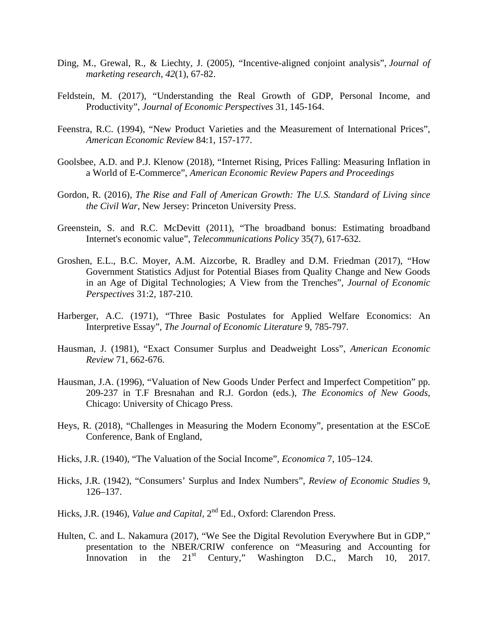- Ding, M., Grewal, R., & Liechty, J. (2005), "Incentive-aligned conjoint analysis", *Journal of marketing research*, *42*(1), 67-82.
- Feldstein, M. (2017), "Understanding the Real Growth of GDP, Personal Income, and Productivity", *Journal of Economic Perspectives* 31, 145-164.
- Feenstra, R.C. (1994), "New Product Varieties and the Measurement of International Prices", *American Economic Review* 84:1, 157-177.
- Goolsbee, A.D. and P.J. Klenow (2018), "Internet Rising, Prices Falling: Measuring Inflation in a World of E-Commerce", *American Economic Review Papers and Proceedings*
- Gordon, R. (2016), *The Rise and Fall of American Growth: The U.S. Standard of Living since the Civil War*, New Jersey: Princeton University Press.
- Greenstein, S. and R.C. McDevitt (2011), "The broadband bonus: Estimating broadband Internet's economic value", *Telecommunications Policy* 35(7), 617-632.
- Groshen, E.L., B.C. Moyer, A.M. Aizcorbe, R. Bradley and D.M. Friedman (2017), "How Government Statistics Adjust for Potential Biases from Quality Change and New Goods in an Age of Digital Technologies; A View from the Trenches", *Journal of Economic Perspectives* 31:2, 187-210.
- Harberger, A.C. (1971), "Three Basic Postulates for Applied Welfare Economics: An Interpretive Essay", *The Journal of Economic Literature* 9, 785-797.
- Hausman, J. (1981), "Exact Consumer Surplus and Deadweight Loss", *American Economic Review* 71, 662-676.
- Hausman, J.A. (1996), "Valuation of New Goods Under Perfect and Imperfect Competition" pp. 209-237 in T.F Bresnahan and R.J. Gordon (eds.), *The Economics of New Goods*, Chicago: University of Chicago Press.
- Heys, R. (2018), "Challenges in Measuring the Modern Economy", presentation at the ESCoE Conference, Bank of England,
- Hicks, J.R. (1940), "The Valuation of the Social Income", *Economica* 7, 105–124.
- Hicks, J.R. (1942), "Consumers' Surplus and Index Numbers", *Review of Economic Studies* 9, 126–137.
- Hicks, J.R. (1946), *Value and Capital*, 2<sup>nd</sup> Ed., Oxford: Clarendon Press.
- Hulten, C. and L. Nakamura (2017), "We See the Digital Revolution Everywhere But in GDP," presentation to the NBER/CRIW conference on "Measuring and Accounting for Innovation in the 21<sup>st</sup> Century," Washington D.C., March 10, 2017.